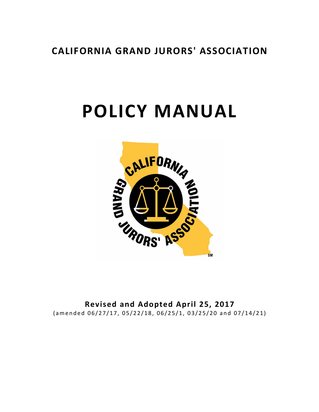# **CALIFORNIA GRAND JURORS' ASSOCIATION**

# **POLICY MANUAL**



**Revised and Adopted April 25, 2017** ( amended 06/27/17, 05/22/18, 06/25/1, 03/25/20 and 07/14/21)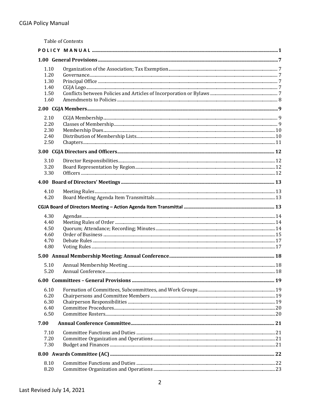| 1.10 |  |  |  |  |  |  |
|------|--|--|--|--|--|--|
| 1.20 |  |  |  |  |  |  |
| 1.30 |  |  |  |  |  |  |
| 1.40 |  |  |  |  |  |  |
| 1.50 |  |  |  |  |  |  |
| 1.60 |  |  |  |  |  |  |
|      |  |  |  |  |  |  |
| 2.10 |  |  |  |  |  |  |
| 2.20 |  |  |  |  |  |  |
| 2.30 |  |  |  |  |  |  |
| 2.40 |  |  |  |  |  |  |
| 2.50 |  |  |  |  |  |  |
|      |  |  |  |  |  |  |
| 3.10 |  |  |  |  |  |  |
| 3.20 |  |  |  |  |  |  |
| 3.30 |  |  |  |  |  |  |
|      |  |  |  |  |  |  |
| 4.10 |  |  |  |  |  |  |
| 4.20 |  |  |  |  |  |  |
|      |  |  |  |  |  |  |
| 4.30 |  |  |  |  |  |  |
| 4.40 |  |  |  |  |  |  |
| 4.50 |  |  |  |  |  |  |
| 4.60 |  |  |  |  |  |  |
| 4.70 |  |  |  |  |  |  |
| 4.80 |  |  |  |  |  |  |
|      |  |  |  |  |  |  |
| 5.10 |  |  |  |  |  |  |
| 5.20 |  |  |  |  |  |  |
|      |  |  |  |  |  |  |
| 6.10 |  |  |  |  |  |  |
| 6.20 |  |  |  |  |  |  |
| 6.30 |  |  |  |  |  |  |
| 6.40 |  |  |  |  |  |  |
| 6.50 |  |  |  |  |  |  |
| 7.00 |  |  |  |  |  |  |
| 7.10 |  |  |  |  |  |  |
| 7.20 |  |  |  |  |  |  |
| 7.30 |  |  |  |  |  |  |
|      |  |  |  |  |  |  |
| 8.10 |  |  |  |  |  |  |
| 8.20 |  |  |  |  |  |  |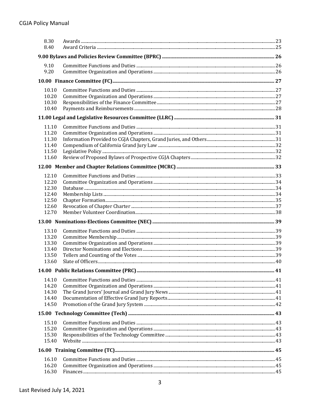| 8.30<br>8.40   |    |
|----------------|----|
|                |    |
| 9.10           |    |
| 9.20           |    |
|                |    |
| 10.10          |    |
| 10.20          |    |
| 10.30          |    |
| 10.40          |    |
|                |    |
| 11.10          |    |
| 11.20          |    |
| 11.30          |    |
| 11.40          |    |
| 11.50          |    |
| 11.60          |    |
|                |    |
| 12.10          |    |
| 12.20          |    |
| 12.30          |    |
| 12.40          |    |
| 12.50          |    |
| 12.60          |    |
| 12.70          |    |
|                |    |
| 13.10          |    |
| 13.20          |    |
| 13.30          |    |
| 13.40          |    |
| 13.50<br>13.60 |    |
|                |    |
|                | 41 |
| 14.10          |    |
| 14.20          |    |
| 14.30          |    |
| 14.40<br>14.50 |    |
|                |    |
|                |    |
| 15.10          |    |
| 15.20          |    |
| 15.30<br>15.40 |    |
|                |    |
|                |    |
| 16.10          |    |
| 16.20          |    |
| 16.30          |    |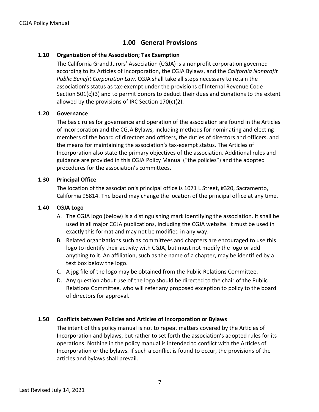## **1.00 General Provisions**

#### **1.10 Organization of the Association; Tax Exemption**

The California Grand Jurors' Association (CGJA) is a nonprofit corporation governed according to its Articles of Incorporation, the CGJA Bylaws, and the *California Nonprofit Public Benefit Corporation Law*. CGJA shall take all steps necessary to retain the association's status as tax-exempt under the provisions of Internal Revenue Code Section 501(c)(3) and to permit donors to deduct their dues and donations to the extent allowed by the provisions of IRC Section 170(c)(2).

#### **1.20 Governance**

The basic rules for governance and operation of the association are found in the Articles of Incorporation and the CGJA Bylaws, including methods for nominating and electing members of the board of directors and officers, the duties of directors and officers, and the means for maintaining the association's tax-exempt status. The Articles of Incorporation also state the primary objectives of the association. Additional rules and guidance are provided in this CGJA Policy Manual ("the policies") and the adopted procedures for the association's committees.

#### **1.30 Principal Office**

The location of the association's principal office is 1071 L Street, #320, Sacramento, California 95814. The board may change the location of the principal office at any time.

#### **1.40 CGJA Logo**

- A. The CGJA logo (below) is a distinguishing mark identifying the association. It shall be used in all major CGJA publications, including the CGJA website. It must be used in exactly this format and may not be modified in any way.
- B. Related organizations such as committees and chapters are encouraged to use this logo to identify their activity with CGJA, but must not modify the logo or add anything to it. An affiliation, such as the name of a chapter, may be identified by a text box below the logo.
- C. A jpg file of the logo may be obtained from the Public Relations Committee.
- D. Any question about use of the logo should be directed to the chair of the Public Relations Committee, who will refer any proposed exception to policy to the board of directors for approval.

#### **1.50 Conflicts between Policies and Articles of Incorporation or Bylaws**

The intent of this policy manual is not to repeat matters covered by the Articles of Incorporation and bylaws, but rather to set forth the association's adopted rules for its operations. Nothing in the policy manual is intended to conflict with the Articles of Incorporation or the bylaws. If such a conflict is found to occur, the provisions of the articles and bylaws shall prevail.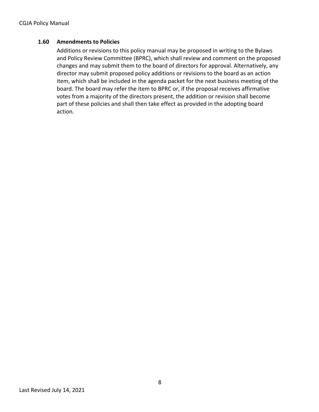#### **1.60 Amendments to Policies**

Additions or revisions to this policy manual may be proposed in writing to the Bylaws and Policy Review Committee (BPRC), which shall review and comment on the proposed changes and may submit them to the board of directors for approval. Alternatively, any director may submit proposed policy additions or revisions to the board as an action item, which shall be included in the agenda packet for the next business meeting of the board. The board may refer the item to BPRC or, if the proposal receives affirmative votes from a majority of the directors present, the addition or revision shall become part of these policies and shall then take effect as provided in the adopting board action*.*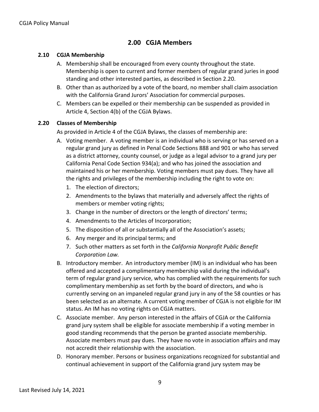## **2.00 CGJA Members**

#### **2.10 CGJA Membership**

- A. Membership shall be encouraged from every county throughout the state. Membership is open to current and former members of regular grand juries in good standing and other interested parties, as described in Section 2.20.
- B. Other than as authorized by a vote of the board, no member shall claim association with the California Grand Jurors' Association for commercial purposes.
- C. Members can be expelled or their membership can be suspended as provided in Article 4, Section 4(b) of the CGJA Bylaws.

#### **2.20 Classes of Membership**

As provided in Article 4 of the CGJA Bylaws, the classes of membership are:

- A. Voting member. A voting member is an individual who is serving or has served on a regular grand jury as defined in Penal Code Sections 888 and 901 or who has served as a district attorney, county counsel, or judge as a legal advisor to a grand jury per California Penal Code Section 934(a); and who has joined the association and maintained his or her membership. Voting members must pay dues. They have all the rights and privileges of the membership including the right to vote on:
	- 1. The election of directors;
	- 2. Amendments to the bylaws that materially and adversely affect the rights of members or member voting rights;
	- 3. Change in the number of directors or the length of directors' terms;
	- 4. Amendments to the Articles of Incorporation;
	- 5. The disposition of all or substantially all of the Association's assets;
	- 6. Any merger and its principal terms; and
	- 7. Such other matters as set forth in the *California Nonprofit Public Benefit Corporation Law.*
- B. Introductory member. An introductory member (IM) is an individual who has been offered and accepted a complimentary membership valid during the individual's term of regular grand jury service, who has complied with the requirements for such complimentary membership as set forth by the board of directors, and who is currently serving on an impaneled regular grand jury in any of the 58 counties or has been selected as an alternate. A current voting member of CGJA is not eligible for IM status. An IM has no voting rights on CGJA matters.
- C. Associate member. Any person interested in the affairs of CGJA or the California grand jury system shall be eligible for associate membership if a voting member in good standing recommends that the person be granted associate membership. Associate members must pay dues. They have no vote in association affairs and may not accredit their relationship with the association.
- D. Honorary member. Persons or business organizations recognized for substantial and continual achievement in support of the California grand jury system may be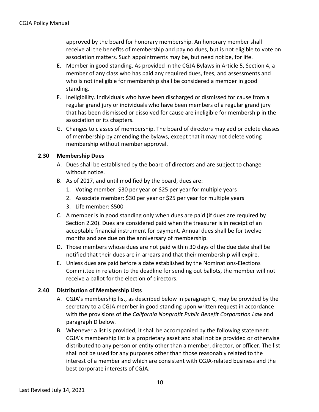approved by the board for honorary membership. An honorary member shall receive all the benefits of membership and pay no dues, but is not eligible to vote on association matters. Such appointments may be, but need not be, for life.

- E. Member in good standing. As provided in the CGJA Bylaws in Article 5, Section 4, a member of any class who has paid any required dues, fees, and assessments and who is not ineligible for membership shall be considered a member in good standing.
- F. Ineligibility. Individuals who have been discharged or dismissed for cause from a regular grand jury or individuals who have been members of a regular grand jury that has been dismissed or dissolved for cause are ineligible for membership in the association or its chapters.
- G. Changes to classes of membership. The board of directors may add or delete classes of membership by amending the bylaws, except that it may not delete voting membership without member approval.

#### **2.30 Membership Dues**

- A. Dues shall be established by the board of directors and are subject to change without notice.
- B. As of 2017, and until modified by the board, dues are:
	- 1. Voting member: \$30 per year or \$25 per year for multiple years
	- 2. Associate member: \$30 per year or \$25 per year for multiple years
	- 3. Life member: \$500
- C. A member is in good standing only when dues are paid (if dues are required by Section 2.20). Dues are considered paid when the treasurer is in receipt of an acceptable financial instrument for payment. Annual dues shall be for twelve months and are due on the anniversary of membership.
- D. Those members whose dues are not paid within 30 days of the due date shall be notified that their dues are in arrears and that their membership will expire.
- E. Unless dues are paid before a date established by the Nominations-Elections Committee in relation to the deadline for sending out ballots, the member will not receive a ballot for the election of directors.

#### **2.40 Distribution of Membership Lists**

- A. CGJA's membership list, as described below in paragraph C, may be provided by the secretary to a CGJA member in good standing upon written request in accordance with the provisions of the *California Nonprofit Public Benefit Corporation Law* and paragraph D below*.*
- B. Whenever a list is provided, it shall be accompanied by the following statement: CGJA's membership list is a proprietary asset and shall not be provided or otherwise distributed to any person or entity other than a member, director, or officer. The list shall not be used for any purposes other than those reasonably related to the interest of a member and which are consistent with CGJA-related business and the best corporate interests of CGJA.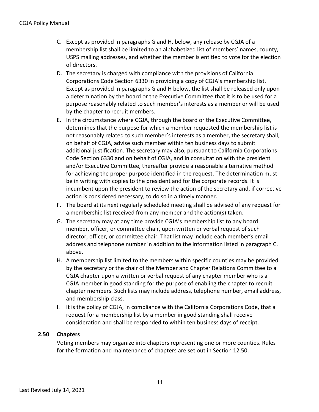- C. Except as provided in paragraphs G and H, below, any release by CGJA of a membership list shall be limited to an alphabetized list of members' names, county, USPS mailing addresses, and whether the member is entitled to vote for the election of directors.
- D. The secretary is charged with compliance with the provisions of California Corporation*s* Code Section 6330 in providing a copy of CGJA's membership list. Except as provided in paragraphs G and H below, the list shall be released only upon a determination by the board or the Executive Committee that it is to be used for a purpose reasonably related to such member's interests as a member or will be used by the chapter to recruit members.
- E. In the circumstance where CGJA, through the board or the Executive Committee, determines that the purpose for which a member requested the membership list is not reasonably related to such member's interests as a member, the secretary shall, on behalf of CGJA, advise such member within ten business days to submit additional justification. The secretary may also, pursuant to California Corporations Code Section 6330 and on behalf of CGJA, and in consultation with the president and/or Executive Committee, thereafter provide a reasonable alternative method for achieving the proper purpose identified in the request. The determination must be in writing with copies to the president and for the corporate records. It is incumbent upon the president to review the action of the secretary and, if corrective action is considered necessary, to do so in a timely manner.
- F. The board at its next regularly scheduled meeting shall be advised of any request for a membership list received from any member and the action(s) taken.
- G. The secretary may at any time provide CGJA's membership list to any board member, officer, or committee chair, upon written or verbal request of such director, officer, or committee chair. That list may include each member's email address and telephone number in addition to the information listed in paragraph C, above.
- H. A membership list limited to the members within specific counties may be provided by the secretary or the chair of the Member and Chapter Relations Committee to a CGJA chapter upon a written or verbal request of any chapter member who is a CGJA member in good standing for the purpose of enabling the chapter to recruit chapter members. Such lists may include address, telephone number, email address, and membership class.
- I. It is the policy of CGJA, in compliance with the California Corporations Code, that a request for a membership list by a member in good standing shall receive consideration and shall be responded to within ten business days of receipt.

#### **2.50 Chapters**

Voting members may organize into chapters representing one or more counties. Rules for the formation and maintenance of chapters are set out in Section 12.50.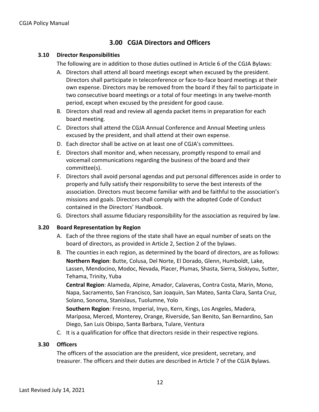## **3.00 CGJA Directors and Officers**

#### **3.10 Director Responsibilities**

The following are in addition to those duties outlined in Article 6 of the CGJA Bylaws:

- A. Directors shall attend all board meetings except when excused by the president. Directors shall participate in teleconference or face-to-face board meetings at their own expense. Directors may be removed from the board if they fail to participate in two consecutive board meetings or a total of four meetings in any twelve-month period, except when excused by the president for good cause.
- B. Directors shall read and review all agenda packet items in preparation for each board meeting.
- C. Directors shall attend the CGJA Annual Conference and Annual Meeting unless excused by the president, and shall attend at their own expense.
- D. Each director shall be active on at least one of CGJA's committees.
- E. Directors shall monitor and, when necessary, promptly respond to email and voicemail communications regarding the business of the board and their committee(s).
- F. Directors shall avoid personal agendas and put personal differences aside in order to properly and fully satisfy their responsibility to serve the best interests of the association. Directors must become familiar with and be faithful to the association's missions and goals. Directors shall comply with the adopted Code of Conduct contained in the Directors' Handbook.
- G. Directors shall assume fiduciary responsibility for the association as required by law.

#### **3.20 Board Representation by Region**

- A. Each of the three regions of the state shall have an equal number of seats on the board of directors, as provided in Article 2, Section 2 of the bylaws.
- B. The counties in each region, as determined by the board of directors, are as follows: **Northern Region**: Butte, Colusa, Del Norte, El Dorado, Glenn, Humboldt, Lake, Lassen, Mendocino, Modoc, Nevada, Placer, Plumas, Shasta, Sierra, Siskiyou, Sutter, Tehama, Trinity, Yuba

**Central Region**: Alameda, Alpine, Amador, Calaveras, Contra Costa, Marin, Mono, Napa, Sacramento, San Francisco, San Joaquin, San Mateo, Santa Clara, Santa Cruz, Solano, Sonoma, Stanislaus, Tuolumne, Yolo

**Southern Region**: Fresno, Imperial, Inyo, Kern, Kings, Los Angeles, Madera, Mariposa, Merced, Monterey, Orange, Riverside, San Benito, San Bernardino, San Diego, San Luis Obispo, Santa Barbara, Tulare, Ventura

C. It is a qualification for office that directors reside in their respective regions.

#### **3.30 Officers**

The officers of the association are the president, vice president, secretary, and treasurer. The officers and their duties are described in Article 7 of the CGJA Bylaws.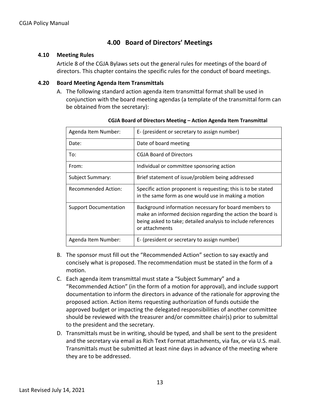## **4.00 Board of Directors' Meetings**

#### **4.10 Meeting Rules**

Article 8 of the CGJA Bylaws sets out the general rules for meetings of the board of directors. This chapter contains the specific rules for the conduct of board meetings.

#### **4.20 Board Meeting Agenda Item Transmittals**

A. The following standard action agenda item transmittal format shall be used in conjunction with the board meeting agendas (a template of the transmittal form can be obtained from the secretary):

| Agenda Item Number:          | E- (president or secretary to assign number)                                                                                                                                                           |
|------------------------------|--------------------------------------------------------------------------------------------------------------------------------------------------------------------------------------------------------|
| Date:                        | Date of board meeting                                                                                                                                                                                  |
| To:                          | <b>CGJA Board of Directors</b>                                                                                                                                                                         |
| From:                        | Individual or committee sponsoring action                                                                                                                                                              |
| <b>Subject Summary:</b>      | Brief statement of issue/problem being addressed                                                                                                                                                       |
| <b>Recommended Action:</b>   | Specific action proponent is requesting; this is to be stated<br>in the same form as one would use in making a motion                                                                                  |
| <b>Support Documentation</b> | Background information necessary for board members to<br>make an informed decision regarding the action the board is<br>being asked to take; detailed analysis to include references<br>or attachments |
| Agenda Item Number:          | E- (president or secretary to assign number)                                                                                                                                                           |

- B. The sponsor must fill out the "Recommended Action" section to say exactly and concisely what is proposed. The recommendation must be stated in the form of a motion.
- C. Each agenda item transmittal must state a "Subject Summary" and a "Recommended Action" (in the form of a motion for approval), and include support documentation to inform the directors in advance of the rationale for approving the proposed action. Action items requesting authorization of funds outside the approved budget or impacting the delegated responsibilities of another committee should be reviewed with the treasurer and/or committee chair(s) prior to submittal to the president and the secretary.
- D. Transmittals must be in writing, should be typed, and shall be sent to the president and the secretary via email as Rich Text Format attachments, via fax, or via U.S. mail. Transmittals must be submitted at least nine days in advance of the meeting where they are to be addressed.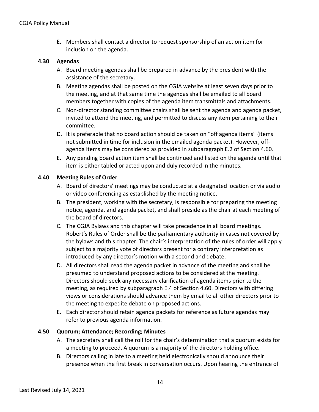E. Members shall contact a director to request sponsorship of an action item for inclusion on the agenda.

#### **4.30 Agendas**

- A. Board meeting agendas shall be prepared in advance by the president with the assistance of the secretary.
- B. Meeting agendas shall be posted on the CGJA website at least seven days prior to the meeting, and at that same time the agendas shall be emailed to all board members together with copies of the agenda item transmittals and attachments.
- C. Non-director standing committee chairs shall be sent the agenda and agenda packet, invited to attend the meeting, and permitted to discuss any item pertaining to their committee.
- D. It is preferable that no board action should be taken on "off agenda items" (items not submitted in time for inclusion in the emailed agenda packet). However, offagenda items may be considered as provided in subparagraph E.2 of Section 4.60.
- E. Any pending board action item shall be continued and listed on the agenda until that item is either tabled or acted upon and duly recorded in the minutes.

#### **4.40 Meeting Rules of Order**

- A. Board of directors' meetings may be conducted at a designated location or via audio or video conferencing as established by the meeting notice.
- B. The president, working with the secretary, is responsible for preparing the meeting notice, agenda, and agenda packet, and shall preside as the chair at each meeting of the board of directors.
- C. The CGJA Bylaws and this chapter will take precedence in all board meetings. Robert's Rules of Order shall be the parliamentary authority in cases not covered by the bylaws and this chapter. The chair's interpretation of the rules of order will apply subject to a majority vote of directors present for a contrary interpretation as introduced by any director's motion with a second and debate.
- D. All directors shall read the agenda packet in advance of the meeting and shall be presumed to understand proposed actions to be considered at the meeting. Directors should seek any necessary clarification of agenda items prior to the meeting, as required by subparagraph E.4 of Section 4.60. Directors with differing views or considerations should advance them by email to all other director*s* prior to the meeting to expedite debate on proposed actions.
- E. Each director should retain agenda packets for reference as future agendas may refer to previous agenda information.

#### **4.50 Quorum; Attendance; Recording; Minutes**

- A. The secretary shall call the roll for the chair's determination that a quorum exists for a meeting to proceed. A quorum is a majority of the directors holding office.
- B. Directors calling in late to a meeting held electronically should announce their presence when the first break in conversation occurs. Upon hearing the entrance of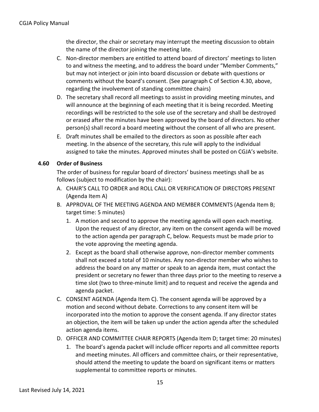the director, the chair or secretary may interrupt the meeting discussion to obtain the name of the director joining the meeting late.

- C. Non-director members are entitled to attend board of directors' meetings to listen to and witness the meeting, and to address the board under "Member Comments," but may not interject or join into board discussion or debate with questions or comments without the board's consent. (See paragraph C of Section 4.30, above, regarding the involvement of standing committee chairs)
- D. The secretary shall record all meetings to assist in providing meeting minutes, and will announce at the beginning of each meeting that it is being recorded. Meeting recordings will be restricted to the sole use of the secretary and shall be destroyed or erased after the minutes have been approved by the board of directors. No other person(s) shall record a board meeting without the consent of all who are present.
- E. Draft minutes shall be emailed to the directors as soon as possible after each meeting. In the absence of the secretary, this rule will apply to the individual assigned to take the minutes. Approved minutes shall be posted on CGJA's website.

#### **4.60 Order of Business**

The order of business for regular board of directors' business meetings shall be as follows (subject to modification by the chair):

- A. CHAIR'S CALL TO ORDER and ROLL CALL OR VERIFICATION OF DIRECTORS PRESENT (Agenda Item A)
- B. APPROVAL OF THE MEETING AGENDA AND MEMBER COMMENTS (Agenda Item B; target time: 5 minutes)
	- 1. A motion and second to approve the meeting agenda will open each meeting. Upon the request of any director, any item on the consent agenda will be moved to the action agenda per paragraph C, below. Requests must be made prior to the vote approving the meeting agenda.
	- 2. Except as the board shall otherwise approve, non-director member comments shall not exceed a total of 10 minutes. Any non-director member who wishes to address the board on any matter or speak to an agenda item, must contact the president or secretary no fewer than three days prior to the meeting to reserve a time slot (two to three-minute limit) and to request and receive the agenda and agenda packet.
- C. CONSENT AGENDA (Agenda Item C). The consent agenda will be approved by a motion and second without debate. Corrections to any consent item will be incorporated into the motion to approve the consent agenda. If any director states an objection, the item will be taken up under the action agenda after the scheduled action agenda items.
- D. OFFICER AND COMMITTEE CHAIR REPORTS (Agenda Item D; target time: 20 minutes)
	- 1. The board's agenda packet will include officer reports and all committee reports and meeting minutes. All officers and committee chairs, or their representative, should attend the meeting to update the board on significant items or matters supplemental to committee reports or minutes.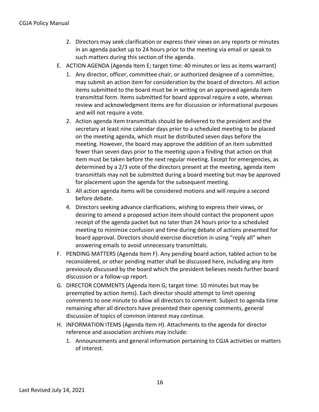- 2. Directors may seek clarification or express their views on any reports or minutes in an agenda packet up to 24 hours prior to the meeting via email or speak to such matters during this section of the agenda.
- E. ACTION AGENDA (Agenda Item E; target time: 40 minutes or less as items warrant)
	- 1. Any director, officer, committee chair, or authorized designee of a committee, may submit an action item for consideration by the board of directors. All action items submitted to the board must be in writing on an approved agenda item transmittal form. Items submitted for board approval require a vote, whereas review and acknowledgment items are for discussion or informational purposes and will not require a vote.
	- 2. Action agenda item transmittals should be delivered to the president and the secretary at least nine calendar days prior to a scheduled meeting to be placed on the meeting agenda, which must be distributed seven days before the meeting. However, the board may approve the addition of an item submitted fewer than seven days prior to the meeting upon a finding that action on that item must be taken before the next regular meeting. Except for emergencies, as determined by a 2/3 vote of the directors present at the meeting, agenda item transmittals may not be submitted during a board meeting but may be approved for placement upon the agenda for the subsequent meeting.
	- 3. All action agenda items will be considered motions and will require a second before debate.
	- 4. Directors seeking advance clarifications, wishing to express their views, or desiring to amend a proposed action item should contact the proponent upon receipt of the agenda packet but no later than 24 hours prior to a scheduled meeting to minimize confusion and time during debate of actions presented for board approval. Directors should exercise discretion in using "reply all" when answering emails to avoid unnecessary transmittals.
- F. PENDING MATTERS (Agenda Item F). Any pending board action, tabled action to be reconsidered, or other pending matter shall be discussed here, including any item previously discussed by the board which the president believes needs further board discussion or a follow-up report.
- G. DIRECTOR COMMENTS (Agenda Item G; target time: 10 minutes but may be preempted by action items). Each director should attempt to limit opening comments to one minute to allow all directors to comment. Subject to agenda time remaining after all directors have presented their opening comments, general discussion of topics of common interest may continue.
- H. INFORMATION ITEMS (Agenda Item H). Attachments to the agenda for director reference and association archives may include:
	- 1. Announcements and general information pertaining to CGJA activities or matters of interest.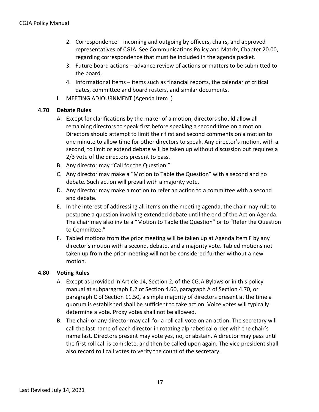- 2. Correspondence incoming and outgoing by officers, chairs, and approved representatives of CGJA. See Communications Policy and Matrix, Chapter 20.00, regarding correspondence that must be included in the agenda packet.
- 3. Future board actions advance review of actions or matters to be submitted to the board.
- 4. Informational Items items such as financial reports, the calendar of critical dates, committee and board rosters, and similar documents.
- I. MEETING ADJOURNMENT (Agenda Item I)

#### **4.70 Debate Rules**

- A. Except for clarifications by the maker of a motion, directors should allow all remaining directors to speak first before speaking a second time on a motion. Directors should attempt to limit their first and second comments on a motion to one minute to allow time for other directors to speak. Any director's motion, with a second, to limit or extend debate will be taken up without discussion but requires a 2/3 vote of the directors present to pass.
- B. Any director may "Call for the Question."
- C. Any director may make a "Motion to Table the Question" with a second and no debate. Such action will prevail with a majority vote.
- D. Any director may make a motion to refer an action to a committee with a second and debate.
- E. In the interest of addressing all items on the meeting agenda, the chair may rule to postpone a question involving extended debate until the end of the Action Agenda. The chair may also invite a "Motion to Table the Question" or to "Refer the Question to Committee."
- F. Tabled motions from the prior meeting will be taken up at Agenda Item F by any director's motion with a second, debate, and a majority vote. Tabled motions not taken up from the prior meeting will not be considered further without a new motion.

#### **4.80 Voting Rules**

- A. Except as provided in Article 14, Section 2, of the CGJA Bylaws or in this policy manual at subparagraph E.2 of Section 4.60, paragraph A of Section 4.70, or paragraph C of Section 11.50, a simple majority of directors present at the time a quorum is established shall be sufficient to take action. Voice votes will typically determine a vote. Proxy votes shall not be allowed.
- B. The chair or any director may call for a roll call vote on an action. The secretary will call the last name of each director in rotating alphabetical order with the chair's name last. Directors present may vote yes, no, or abstain. A director may pass until the first roll call is complete, and then be called upon again. The vice president shall also record roll call votes to verify the count of the secretary.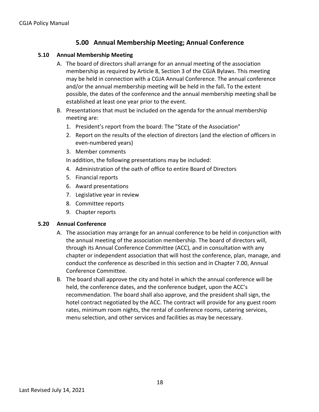## **5.00 Annual Membership Meeting; Annual Conference**

#### **5.10 Annual Membership Meeting**

- A. The board of directors shall arrange for an annual meeting of the association membership as required by Article 8, Section 3 of the CGJA Bylaws. This meeting may be held in connection with a CGJA Annual Conference. The annual conference and/or the annual membership meeting will be held in the fall**.** To the extent possible, the dates of the conference and the annual membership meeting shall be established at least one year prior to the event.
- B. Presentations that must be included on the agenda for the annual membership meeting are:
	- 1. President's report from the board: The "State of the Association"
	- 2. Report on the results of the election of directors (and the election of officers in even-numbered years)
	- 3. Member comments

In addition, the following presentations may be included:

- 4. Administration of the oath of office to entire Board of Directors
- 5. Financial reports
- 6. Award presentations
- 7. Legislative year in review
- 8. Committee reports
- 9. Chapter reports

#### **5.20 Annual Conference**

- A. The association may arrange for an annual conference to be held in conjunction with the annual meeting of the association membership. The board of directors will, through its Annual Conference Committee (ACC), and in consultation with any chapter or independent association that will host the conference, plan, manage, and conduct the conference as described in this section and in Chapter 7.00, Annual Conference Committee.
- B. The board shall approve the city and hotel in which the annual conference will be held, the conference dates, and the conference budget, upon the ACC's recommendation. The board shall also approve, and the president shall sign, the hotel contract negotiated by the ACC. The contract will provide for any guest room rates, minimum room nights, the rental of conference rooms, catering services, menu selection, and other services and facilities as may be necessary.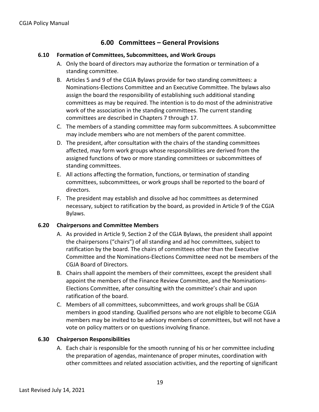## **6.00 Committees – General Provisions**

#### **6.10 Formation of Committees, Subcommittees, and Work Groups**

- A. Only the board of directors may authorize the formation or termination of a standing committee.
- B. Articles 5 and 9 of the CGJA Bylaws provide for two standing committees: a Nominations-Elections Committee and an Executive Committee. The bylaws also assign the board the responsibility of establishing such additional standing committees as may be required. The intention is to do most of the administrative work of the association in the standing committees. The current standing committees are described in Chapters 7 through 17.
- C. The members of a standing committee may form subcommittees. A subcommittee may include members who are not members of the parent committee.
- D. The president, after consultation with the chairs of the standing committees affected, may form work groups whose responsibilities are derived from the assigned functions of two or more standing committees or subcommittees of standing committees.
- E. All actions affecting the formation, functions, or termination of standing committees, subcommittees, or work groups shall be reported to the board of directors.
- F. The president may establish and dissolve ad hoc committees as determined necessary, subject to ratification by the board, as provided in Article 9 of the CGJA Bylaws.

#### **6.20 Chairpersons and Committee Members**

- A. As provided in Article 9, Section 2 of the CGJA Bylaws, the president shall appoint the chairpersons ("chairs") of all standing and ad hoc committees, subject to ratification by the board. The chairs of committees other than the Executive Committee and the Nominations-Elections Committee need not be members of the CGJA Board of Directors.
- B. Chairs shall appoint the members of their committees, except the president shall appoint the members of the Finance Review Committee, and the Nominations-Elections Committee, after consulting with the committee's chair and upon ratification of the board.
- C. Members of all committees, subcommittees, and work groups shall be CGJA members in good standing. Qualified persons who are not eligible to become CGJA members may be invited to be advisory members of committees, but will not have a vote on policy matters or on questions involving finance.

#### **6.30 Chairperson Responsibilities**

A. Each chair is responsible for the smooth running of his or her committee including the preparation of agendas, maintenance of proper minutes, coordination with other committees and related association activities, and the reporting of significant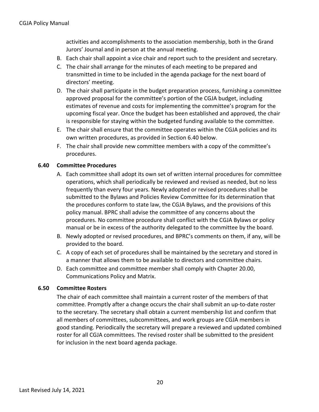activities and accomplishments to the association membership, both in the Grand Jurors' Journal and in person at the annual meeting.

- B. Each chair shall appoint a vice chair and report such to the president and secretary.
- C. The chair shall arrange for the minutes of each meeting to be prepared and transmitted in time to be included in the agenda package for the next board of directors' meeting.
- D. The chair shall participate in the budget preparation process, furnishing a committee approved proposal for the committee's portion of the CGJA budget, including estimates of revenue and costs for implementing the committee's program for the upcoming fiscal year. Once the budget has been established and approved, the chair is responsible for staying within the budgeted funding available to the committee.
- E. The chair shall ensure that the committee operates within the CGJA policies and its own written procedures, as provided in Section 6.40 below.
- F. The chair shall provide new committee members with a copy of the committee's procedures.

#### **6.40 Committee Procedures**

- A. Each committee shall adopt its own set of written internal procedures for committee operations, which shall periodically be reviewed and revised as needed, but no less frequently than every four years. Newly adopted or revised procedures shall be submitted to the Bylaws and Policies Review Committee for its determination that the procedures conform to state law, the CGJA Bylaws, and the provisions of this policy manual. BPRC shall advise the committee of any concerns about the procedures. No committee procedure shall conflict with the CGJA Bylaws or policy manual or be in excess of the authority delegated to the committee by the board.
- B. Newly adopted or revised procedures, and BPRC's comments on them, if any, will be provided to the board.
- C. A copy of each set of procedures shall be maintained by the secretary and stored in a manner that allows them to be available to directors and committee chairs.
- D. Each committee and committee member shall comply with Chapter 20.00, Communications Policy and Matrix.

#### **6.50 Committee Rosters**

The chair of each committee shall maintain a current roster of the members of that committee. Promptly after a change occurs the chair shall submit an up-to-date roster to the secretary. The secretary shall obtain a current membership list and confirm that all members of committees, subcommittees, and work groups are CGJA members in good standing. Periodically the secretary will prepare a reviewed and updated combined roster for all CGJA committees. The revised roster shall be submitted to the president for inclusion in the next board agenda package.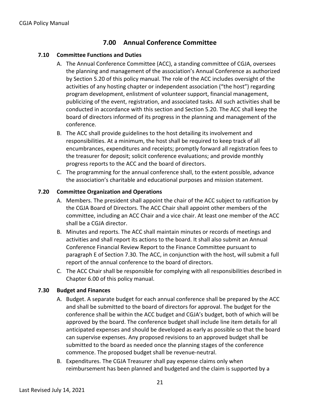## **7.00 Annual Conference Committee**

#### **7.10 Committee Functions and Duties**

- A. The Annual Conference Committee (ACC), a standing committee of CGJA, oversees the planning and management of the association's Annual Conference as authorized by Section 5.20 of this policy manual. The role of the ACC includes oversight of the activities of any hosting chapter or independent association ("the host") regarding program development, enlistment of volunteer support, financial management, publicizing of the event, registration, and associated tasks. All such activities shall be conducted in accordance with this section and Section 5.20. The ACC shall keep the board of directors informed of its progress in the planning and management of the conference.
- B. The ACC shall provide guidelines to the host detailing its involvement and responsibilities. At a minimum, the host shall be required to keep track of all encumbrances, expenditures and receipts; promptly forward all registration fees to the treasurer for deposit; solicit conference evaluations; and provide monthly progress reports to the ACC and the board of directors.
- C. The programming for the annual conference shall, to the extent possible, advance the association's charitable and educational purposes and mission statement.

#### **7.20 Committee Organization and Operations**

- A. Members. The president shall appoint the chair of the ACC subject to ratification by the CGJA Board of Directors. The ACC Chair shall appoint other members of the committee, including an ACC Chair and a vice chair. At least one member of the ACC shall be a CGJA director.
- B. Minutes and reports. The ACC shall maintain minutes or records of meetings and activities and shall report its actions to the board. It shall also submit an Annual Conference Financial Review Report to the Finance Committee pursuant to paragraph E of Section 7.30. The ACC, in conjunction with the host, will submit a full report of the annual conference to the board of directors.
- C. The ACC Chair shall be responsible for complying with all responsibilities described in Chapter 6.00 of this policy manual.

#### **7.30 Budget and Finances**

- A. Budget. A separate budget for each annual conference shall be prepared by the ACC and shall be submitted to the board of directors for approval. The budget for the conference shall be within the ACC budget and CGJA's budget, both of which will be approved by the board. The conference budget shall include line item details for all anticipated expenses and should be developed as early as possible so that the board can supervise expenses. Any proposed revisions to an approved budget shall be submitted to the board as needed once the planning stages of the conference commence. The proposed budget shall be revenue-neutral.
- B. Expenditures. The CGJA Treasurer shall pay expense claims only when reimbursement has been planned and budgeted and the claim is supported by a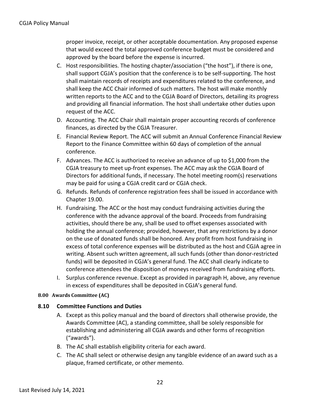proper invoice, receipt, or other acceptable documentation. Any proposed expense that would exceed the total approved conference budget must be considered and approved by the board before the expense is incurred.

- C. Host responsibilities. The hosting chapter/association ("the host"), if there is one, shall support CGJA's position that the conference is to be self-supporting. The host shall maintain records of receipts and expenditures related to the conference, and shall keep the ACC Chair informed of such matters. The host will make monthly written reports to the ACC and to the CGJA Board of Directors, detailing its progress and providing all financial information. The host shall undertake other duties upon request of the ACC.
- D. Accounting. The ACC Chair shall maintain proper accounting records of conference finances, as directed by the CGJA Treasurer.
- E. Financial Review Report. The ACC will submit an Annual Conference Financial Review Report to the Finance Committee within 60 days of completion of the annual conference.
- F. Advances. The ACC is authorized to receive an advance of up to \$1,000 from the CGJA treasury to meet up-front expenses. The ACC may ask the CGJA Board of Directors for additional funds, if necessary. The hotel meeting room(s) reservations may be paid for using a CGJA credit card or CGJA check.
- G. Refunds. Refunds of conference registration fees shall be issued in accordance with Chapter 19.00.
- H. Fundraising. The ACC or the host may conduct fundraising activities during the conference with the advance approval of the board. Proceeds from fundraising activities, should there be any, shall be used to offset expenses associated with holding the annual conference; provided, however, that any restrictions by a donor on the use of donated funds shall be honored. Any profit from host fundraising in excess of total conference expenses will be distributed as the host and CGJA agree in writing. Absent such written agreement, all such funds (other than donor-restricted funds) will be deposited in CGJA's general fund. The ACC shall clearly indicate to conference attendees the disposition of moneys received from fundraising efforts.
- I. Surplus conference revenue. Except as provided in paragraph H, above, any revenue in excess of expenditures shall be deposited in CGJA's general fund.

#### **8.00 Awards Committee (AC)**

#### **8.10 Committee Functions and Duties**

- A. Except as this policy manual and the board of directors shall otherwise provide, the Awards Committee (AC), a standing committee, shall be solely responsible for establishing and administering all CGJA awards and other forms of recognition ("awards").
- B. The AC shall establish eligibility criteria for each award.
- C. The AC shall select or otherwise design any tangible evidence of an award such as a plaque, framed certificate, or other memento.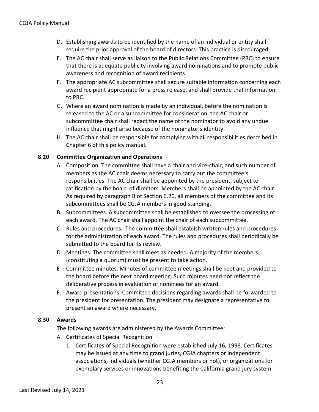- D. Establishing awards to be identified by the name of an individual or entity shall require the prior approval of the board of directors. This practice is discouraged.
- E. The AC chair shall serve as liaison to the Public Relations Committee (PRC) to ensure that there is adequate publicity involving award nominations and to promote public awareness and recognition of award recipients.
- F. The appropriate AC subcommittee shall secure suitable information concerning each award recipient appropriate for a press release, and shall provide that information to PRC.
- G. Where an award nomination is made by an individual, before the nomination is released to the AC or a subcommittee for consideration, the AC chair or subcommittee chair shall redact the name of the nominator to avoid any undue influence that might arise because of the nominator's identity.
- H. The AC chair shall be responsible for complying with all responsibilities described in Chapter 6 of this policy manual.

#### **8.20 Committee Organization and Operations**

- A. Composition. The committee shall have a chair and vice-chair, and such number of members as the AC chair deems necessary to carry out the committee's responsibilities. The AC chair shall be appointed by the president, subject to ratification by the board of directors. Members shall be appointed by the AC chair. As required by paragraph B of Section 6.20, all members of the committee and its subcommittees shall be CGJA members in good standing.
- B. Subcommittees. A subcommittee shall be established to oversee the processing of each award. The AC chair shall appoint the chair of each subcommittee.
- C. Rules and procedures. The committee shall establish written rules and procedures for the administration of each award. The rules and procedures shall periodically be submitted to the board for its review.
- D. Meetings. The committee shall meet as needed. A majority of the members (constituting a quorum) must be present to take action.
- E Committee minutes. Minutes of committee meetings shall be kept and provided to the board before the next board meeting. Such minutes need not reflect the deliberative process in evaluation of nominees for an award.
- F. Award presentations. Committee decisions regarding awards shall be forwarded to the president for presentation. The president may designate a representative to present an award where necessary.

#### **8.30 Awards**

The following awards are administered by the Awards Committee:

- A. Certificates of Special Recognition
	- 1. Certificates of Special Recognition were established July 16, 1998. Certificates may be issued at any time to grand juries, CGJA chapters or independent associations, individuals (whether CGJA members or not), or organizations for exemplary services or innovations benefiting the California grand jury system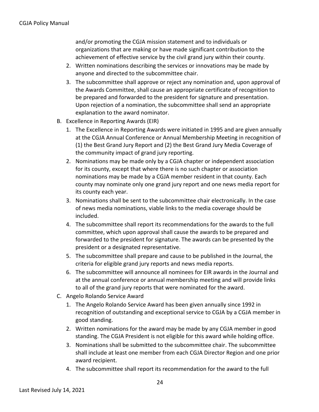and/or promoting the CGJA mission statement and to individuals or organizations that are making or have made significant contribution to the achievement of effective service by the civil grand jury within their county.

- 2. Written nominations describing the services or innovations may be made by anyone and directed to the subcommittee chair.
- 3. The subcommittee shall approve or reject any nomination and, upon approval of the Awards Committee, shall cause an appropriate certificate of recognition to be prepared and forwarded to the president for signature and presentation. Upon rejection of a nomination, the subcommittee shall send an appropriate explanation to the award nominator.
- B. Excellence in Reporting Awards (EIR)
	- 1. The Excellence in Reporting Awards were initiated in 1995 and are given annually at the CGJA Annual Conference or Annual Membership Meeting in recognition of (1) the Best Grand Jury Report and (2) the Best Grand Jury Media Coverage of the community impact of grand jury reporting.
	- 2. Nominations may be made only by a CGJA chapter or independent association for its county, except that where there is no such chapter or association nominations may be made by a CGJA member resident in that county. Each county may nominate only one grand jury report and one news media report for its county each year.
	- 3. Nominations shall be sent to the subcommittee chair electronically. In the case of news media nominations, viable links to the media coverage should be included.
	- 4. The subcommittee shall report its recommendations for the awards to the full committee, which upon approval shall cause the awards to be prepared and forwarded to the president for signature. The awards can be presented by the president or a designated representative.
	- 5. The subcommittee shall prepare and cause to be published in the Journal, the criteria for eligible grand jury reports and news media reports.
	- 6. The subcommittee will announce all nominees for EIR awards in the Journal and at the annual conference or annual membership meeting and will provide links to all of the grand jury reports that were nominated for the award.
- C. Angelo Rolando Service Award
	- 1. The Angelo Rolando Service Award has been given annually since 1992 in recognition of outstanding and exceptional service to CGJA by a CGJA member in good standing.
	- 2. Written nominations for the award may be made by any CGJA member in good standing. The CGJA President is not eligible for this award while holding office.
	- 3. Nominations shall be submitted to the subcommittee chair. The subcommittee shall include at least one member from each CGJA Director Region and one prior award recipient.
	- 4. The subcommittee shall report its recommendation for the award to the full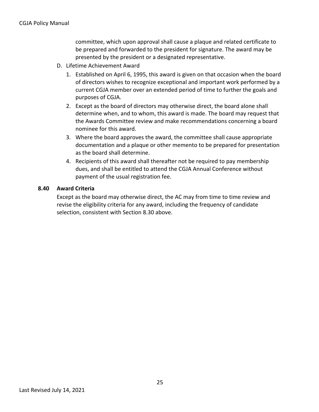committee, which upon approval shall cause a plaque and related certificate to be prepared and forwarded to the president for signature. The award may be presented by the president or a designated representative.

- D. Lifetime Achievement Award
	- 1. Established on April 6, 1995, this award is given on that occasion when the board of directors wishes to recognize exceptional and important work performed by a current CGJA member over an extended period of time to further the goals and purposes of CGJA.
	- 2. Except as the board of directors may otherwise direct, the board alone shall determine when, and to whom, this award is made. The board may request that the Awards Committee review and make recommendations concerning a board nominee for this award.
	- 3. Where the board approves the award, the committee shall cause appropriate documentation and a plaque or other memento to be prepared for presentation as the board shall determine.
	- 4. Recipients of this award shall thereafter not be required to pay membership dues, and shall be entitled to attend the CGJA Annual Conference without payment of the usual registration fee.

#### **8.40 Award Criteria**

Except as the board may otherwise direct, the AC may from time to time review and revise the eligibility criteria for any award, including the frequency of candidate selection, consistent with Section 8.30 above.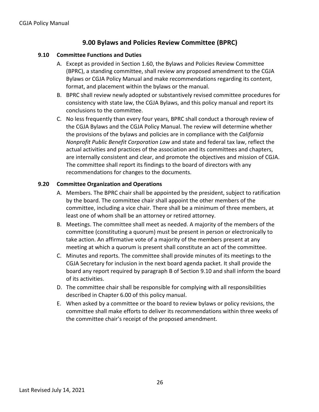## **9.00 Bylaws and Policies Review Committee (BPRC)**

#### **9.10 Committee Functions and Duties**

- A. Except as provided in Section 1.60, the Bylaws and Policies Review Committee (BPRC), a standing committee, shall review any proposed amendment to the CGJA Bylaws or CGJA Policy Manual and make recommendations regarding its content, format, and placement within the bylaws or the manual.
- B. BPRC shall review newly adopted or substantively revised committee procedures for consistency with state law, the CGJA Bylaws, and this policy manual and report its conclusions to the committee.
- C. No less frequently than every four years, BPRC shall conduct a thorough review of the CGJA Bylaws and the CGJA Policy Manual. The review will determine whether the provisions of the bylaws and policies are in compliance with the *California Nonprofit Public Benefit Corporation Law* and state and federal tax law, reflect the actual activities and practices of the association and its committees and chapters, are internally consistent and clear, and promote the objectives and mission of CGJA. The committee shall report its findings to the board of directors with any recommendations for changes to the documents.

#### **9.20 Committee Organization and Operations**

- A. Members. The BPRC chair shall be appointed by the president, subject to ratification by the board. The committee chair shall appoint the other members of the committee, including a vice chair. There shall be a minimum of three members, at least one of whom shall be an attorney or retired attorney.
- B. Meetings. The committee shall meet as needed. A majority of the members of the committee (constituting a quorum) must be present in person or electronically to take action. An affirmative vote of a majority of the members present at any meeting at which a quorum is present shall constitute an act of the committee.
- C. Minutes and reports. The committee shall provide minutes of its meetings to the CGJA Secretary for inclusion in the next board agenda packet. It shall provide the board any report required by paragraph B of Section 9.10 and shall inform the board of its activities.
- D. The committee chair shall be responsible for complying with all responsibilities described in Chapter 6.00 of this policy manual.
- E. When asked by a committee or the board to review bylaws or policy revisions, the committee shall make efforts to deliver its recommendations within three weeks of the committee chair's receipt of the proposed amendment.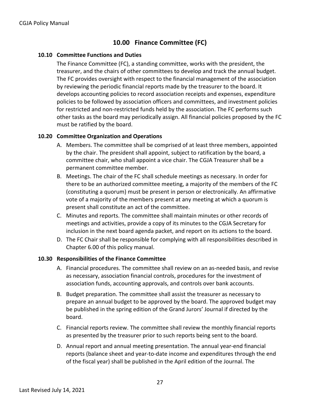## **10.00 Finance Committee (FC)**

#### **10.10 Committee Functions and Duties**

The Finance Committee (FC), a standing committee, works with the president, the treasurer, and the chairs of other committees to develop and track the annual budget. The FC provides oversight with respect to the financial management of the association by reviewing the periodic financial reports made by the treasurer to the board. It develops accounting policies to record association receipts and expenses, expenditure policies to be followed by association officers and committees, and investment policies for restricted and non-restricted funds held by the association. The FC performs such other tasks as the board may periodically assign. All financial policies proposed by the FC must be ratified by the board.

#### **10.20 Committee Organization and Operations**

- A. Members. The committee shall be comprised of at least three members, appointed by the chair. The president shall appoint, subject to ratification by the board, a committee chair, who shall appoint a vice chair. The CGJA Treasurer shall be a permanent committee member.
- B. Meetings. The chair of the FC shall schedule meetings as necessary. In order for there to be an authorized committee meeting, a majority of the members of the FC (constituting a quorum) must be present in person or electronically. An affirmative vote of a majority of the members present at any meeting at which a quorum is present shall constitute an act of the committee.
- C. Minutes and reports. The committee shall maintain minutes or other records of meetings and activities, provide a copy of its minutes to the CGJA Secretary for inclusion in the next board agenda packet, and report on its actions to the board.
- D. The FC Chair shall be responsible for complying with all responsibilities described in Chapter 6.00 of this policy manual.

#### **10.30 Responsibilities of the Finance Committee**

- A. Financial procedures. The committee shall review on an as-needed basis, and revise as necessary, association financial controls, procedures for the investment of association funds, accounting approvals, and controls over bank accounts.
- B. Budget preparation. The committee shall assist the treasurer as necessary to prepare an annual budget to be approved by the board. The approved budget may be published in the spring edition of the Grand Jurors' Journal if directed by the board.
- C. Financial reports review. The committee shall review the monthly financial reports as presented by the treasurer prior to such reports being sent to the board.
- D. Annual report and annual meeting presentation. The annual year-end financial reports (balance sheet and year-to-date income and expenditures through the end of the fiscal year) shall be published in the April edition of the Journal. The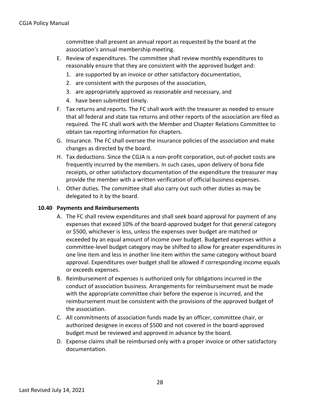#### CGJA Policy Manual

committee shall present an annual report as requested by the board at the association's annual membership meeting.

- E. Review of expenditures. The committee shall review monthly expenditures to reasonably ensure that they are consistent with the approved budget and:
	- 1. are supported by an invoice or other satisfactory documentation,
	- 2. are consistent with the purposes of the association,
	- 3. are appropriately approved as reasonable and necessary, and
	- 4. have been submitted timely.
- F. Tax returns and reports. The FC shall work with the treasurer as needed to ensure that all federal and state tax returns and other reports of the association are filed as required. The FC shall work with the Member and Chapter Relations Committee to obtain tax reporting information for chapters.
- G. Insurance. The FC shall oversee the insurance policies of the association and make changes as directed by the board.
- H. Tax deductions. Since the CGJA is a non-profit corporation, out-of-pocket costs are frequently incurred by the members. In such cases, upon delivery of bona fide receipts, or other satisfactory documentation of the expenditure the treasurer may provide the member with a written verification of official business expenses.
- I. Other duties. The committee shall also carry out such other duties as may be delegated to it by the board.

#### **10.40 Payments and Reimbursements**

- A. The FC shall review expenditures and shall seek board approval for payment of any expenses that exceed 10% of the board-approved budget for that general category or \$500, whichever is less, unless the expenses over budget are matched or exceeded by an equal amount of income over budget. Budgeted expenses within a committee-level budget category may be shifted to allow for greater expenditures in one line item and less in another line item within the same category without board approval. Expenditures over budget shall be allowed if corresponding income equals or exceeds expenses.
- B. Reimbursement of expenses is authorized only for obligations incurred in the conduct of association business. Arrangements for reimbursement must be made with the appropriate committee chair before the expense is incurred, and the reimbursement must be consistent with the provisions of the approved budget of the association.
- C. All commitments of association funds made by an officer, committee chair, or authorized designee in excess of \$500 and not covered in the board-approved budget must be reviewed and approved in advance by the board.
- D. Expense claims shall be reimbursed only with a proper invoice or other satisfactory documentation.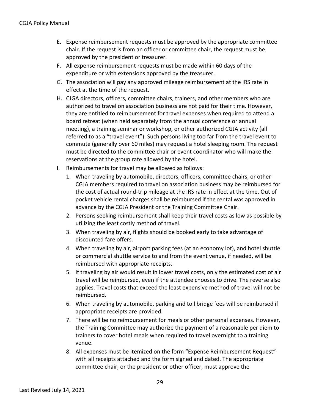- E. Expense reimbursement requests must be approved by the appropriate committee chair. If the request is from an officer or committee chair, the request must be approved by the president or treasurer.
- F. All expense reimbursement requests must be made within 60 days of the expenditure or with extensions approved by the treasurer.
- G. The association will pay any approved mileage reimbursement at the IRS rate in effect at the time of the request.
- H. CJGA directors, officers, committee chairs, trainers, and other members who are authorized to travel on association business are not paid for their time. However, they are entitled to reimbursement for travel expenses when required to attend a board retreat (when held separately from the annual conference or annual meeting), a training seminar or workshop, or other authorized CGJA activity (all referred to as a "travel event"). Such persons living too far from the travel event to commute (generally over 60 miles) may request a hotel sleeping room. The request must be directed to the committee chair or event coordinator who will make the reservations at the group rate allowed by the hotel.
- I. Reimbursements for travel may be allowed as follows:
	- 1. When traveling by automobile, directors, officers, committee chairs, or other CGJA members required to travel on association business may be reimbursed for the cost of actual round-trip mileage at the IRS rate in effect at the time. Out of pocket vehicle rental charges shall be reimbursed if the rental was approved in advance by the CGJA President or the Training Committee Chair.
	- 2. Persons seeking reimbursement shall keep their travel costs as low as possible by utilizing the least costly method of travel.
	- 3. When traveling by air, flights should be booked early to take advantage of discounted fare offers.
	- 4. When traveling by air, airport parking fees (at an economy lot), and hotel shuttle or commercial shuttle service to and from the event venue, if needed, will be reimbursed with appropriate receipts.
	- 5. If traveling by air would result in lower travel costs, only the estimated cost of air travel will be reimbursed, even if the attendee chooses to drive. The reverse also applies. Travel costs that exceed the least expensive method of travel will not be reimbursed.
	- 6. When traveling by automobile, parking and toll bridge fees will be reimbursed if appropriate receipts are provided.
	- 7. There will be no reimbursement for meals or other personal expenses. However, the Training Committee may authorize the payment of a reasonable per diem to trainers to cover hotel meals when required to travel overnight to a training venue.
	- 8. All expenses must be itemized on the form "Expense Reimbursement Request" with all receipts attached and the form signed and dated. The appropriate committee chair, or the president or other officer, must approve the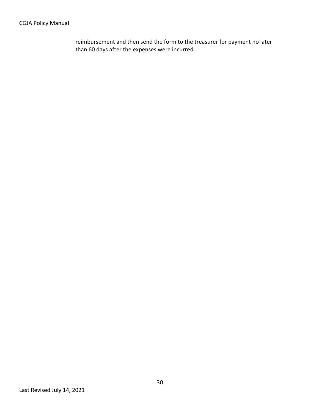#### CGJA Policy Manual

reimbursement and then send the form to the treasurer for payment no later than 60 days after the expenses were incurred.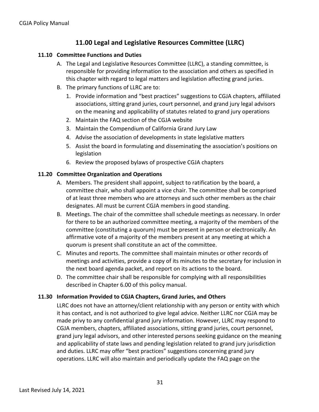## **11.00 Legal and Legislative Resources Committee (LLRC)**

#### **11.10 Committee Functions and Duties**

- A. The Legal and Legislative Resources Committee (LLRC), a standing committee, is responsible for providing information to the association and others as specified in this chapter with regard to legal matters and legislation affecting grand juries.
- B. The primary functions of LLRC are to:
	- 1. Provide information and "best practices" suggestions to CGJA chapters, affiliated associations, sitting grand juries, court personnel, and grand jury legal advisors on the meaning and applicability of statutes related to grand jury operations
	- 2. Maintain the FAQ section of the CGJA website
	- 3. Maintain the Compendium of California Grand Jury Law
	- 4. Advise the association of developments in state legislative matters
	- 5. Assist the board in formulating and disseminating the association's positions on legislation
	- 6. Review the proposed bylaws of prospective CGJA chapters

#### **11.20 Committee Organization and Operations**

- A. Members. The president shall appoint, subject to ratification by the board, a committee chair, who shall appoint a vice chair. The committee shall be comprised of at least three members who are attorneys and such other members as the chair designates. All must be current CGJA members in good standing.
- B. Meetings. The chair of the committee shall schedule meetings as necessary. In order for there to be an authorized committee meeting, a majority of the members of the committee (constituting a quorum) must be present in person or electronically. An affirmative vote of a majority of the members present at any meeting at which a quorum is present shall constitute an act of the committee.
- C. Minutes and reports. The committee shall maintain minutes or other records of meetings and activities, provide a copy of its minutes to the secretary for inclusion in the next board agenda packet, and report on its actions to the board.
- D. The committee chair shall be responsible for complying with all responsibilities described in Chapter 6.00 of this policy manual.

#### **11.30 Information Provided to CGJA Chapters, Grand Juries, and Others**

LLRC does not have an attorney/client relationship with any person or entity with which it has contact, and is not authorized to give legal advice. Neither LLRC nor CGJA may be made privy to any confidential grand jury information. However, LLRC may respond to CGJA members, chapters, affiliated associations, sitting grand juries, court personnel, grand jury legal advisors, and other interested persons seeking guidance on the meaning and applicability of state laws and pending legislation related to grand jury jurisdiction and duties. LLRC may offer "best practices" suggestions concerning grand jury operations. LLRC will also maintain and periodically update the FAQ page on the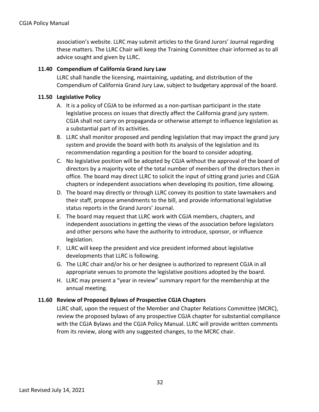association's website. LLRC may submit articles to the Grand Jurors' Journal regarding these matters. The LLRC Chair will keep the Training Committee chair informed as to all advice sought and given by LLRC.

#### **11.40 Compendium of California Grand Jury Law**

LLRC shall handle the licensing, maintaining, updating, and distribution of the Compendium of California Grand Jury Law, subject to budgetary approval of the board.

#### **11.50 Legislative Policy**

- A. It is a policy of CGJA to be informed as a non-partisan participant in the state legislative process on issues that directly affect the California grand jury system. CGJA shall not carry on propaganda or otherwise attempt to influence legislation as a substantial part of its activities.
- B. LLRC shall monitor proposed and pending legislation that may impact the grand jury system and provide the board with both its analysis of the legislation and its recommendation regarding a position for the board to consider adopting.
- C. No legislative position will be adopted by CGJA without the approval of the board of directors by a majority vote of the total number of members of the directors then in office. The board may direct LLRC to solicit the input of sitting grand juries and CGJA chapters or independent associations when developing its position, time allowing.
- D. The board may directly or through LLRC convey its position to state lawmakers and their staff, propose amendments to the bill, and provide informational legislative status reports in the Grand Jurors' Journal.
- E. The board may request that LLRC work with CGJA members, chapters, and independent associations in getting the views of the association before legislators and other persons who have the authority to introduce, sponsor, or influence legislation.
- F. LLRC will keep the president and vice president informed about legislative developments that LLRC is following.
- G. The LLRC chair and/or his or her designee is authorized to represent CGJA in all appropriate venues to promote the legislative positions adopted by the board.
- H. LLRC may present a "year in review" summary report for the membership at the annual meeting.

#### **11.60 Review of Proposed Bylaws of Prospective CGJA Chapters**

LLRC shall, upon the request of the Member and Chapter Relations Committee (MCRC), review the proposed bylaws of any prospective CGJA chapter for substantial compliance with the CGJA Bylaws and the CGJA Policy Manual. LLRC will provide written comments from its review, along with any suggested changes, to the MCRC chair.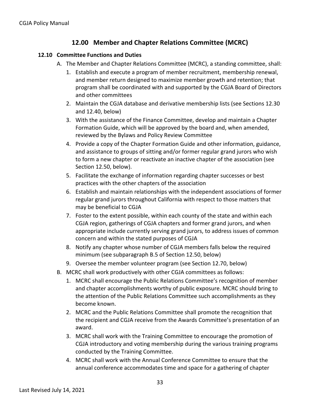## **12.00 Member and Chapter Relations Committee (MCRC)**

#### **12.10 Committee Functions and Duties**

- A. The Member and Chapter Relations Committee (MCRC), a standing committee, shall:
	- 1. Establish and execute a program of member recruitment, membership renewal, and member return designed to maximize member growth and retention; that program shall be coordinated with and supported by the CGJA Board of Directors and other committees
	- 2. Maintain the CGJA database and derivative membership lists (see Sections 12.30 and 12.40, below)
	- 3. With the assistance of the Finance Committee, develop and maintain a Chapter Formation Guide, which will be approved by the board and, when amended, reviewed by the Bylaws and Policy Review Committee
	- 4. Provide a copy of the Chapter Formation Guide and other information, guidance, and assistance to groups of sitting and/or former regular grand jurors who wish to form a new chapter or reactivate an inactive chapter of the association (see Section 12.50, below).
	- 5. Facilitate the exchange of information regarding chapter successes or best practices with the other chapters of the association
	- 6. Establish and maintain relationships with the independent associations of former regular grand jurors throughout California with respect to those matters that may be beneficial to CGJA
	- 7. Foster to the extent possible, within each county of the state and within each CGJA region, gatherings of CGJA chapters and former grand jurors, and when appropriate include currently serving grand jurors, to address issues of common concern and within the stated purposes of CGJA
	- 8. Notify any chapter whose number of CGJA members falls below the required minimum (see subparagraph B.5 of Section 12.50, below)
	- 9. Oversee the member volunteer program (see Section 12.70, below)
- B. MCRC shall work productively with other CGJA committees as follows:
	- 1. MCRC shall encourage the Public Relations Committee's recognition of member and chapter accomplishments worthy of public exposure. MCRC should bring to the attention of the Public Relations Committee such accomplishments as they become known.
	- 2. MCRC and the Public Relations Committee shall promote the recognition that the recipient and CGJA receive from the Awards Committee's presentation of an award.
	- 3. MCRC shall work with the Training Committee to encourage the promotion of CGJA introductory and voting membership during the various training programs conducted by the Training Committee.
	- 4. MCRC shall work with the Annual Conference Committee to ensure that the annual conference accommodates time and space for a gathering of chapter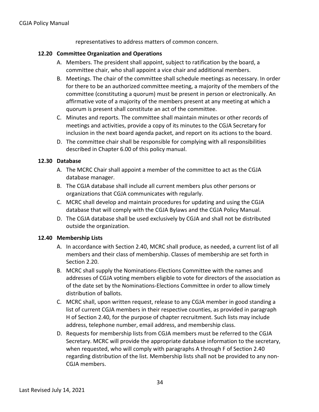representatives to address matters of common concern.

#### **12.20 Committee Organization and Operations**

- A. Members. The president shall appoint, subject to ratification by the board, a committee chair, who shall appoint a vice chair and additional members.
- B. Meetings. The chair of the committee shall schedule meetings as necessary. In order for there to be an authorized committee meeting, a majority of the members of the committee (constituting a quorum) must be present in person or electronically. An affirmative vote of a majority of the members present at any meeting at which a quorum is present shall constitute an act of the committee.
- C. Minutes and reports. The committee shall maintain minutes or other records of meetings and activities, provide a copy of its minutes to the CGJA Secretary for inclusion in the next board agenda packet, and report on its actions to the board.
- D. The committee chair shall be responsible for complying with all responsibilities described in Chapter 6.00 of this policy manual.

#### **12.30 Database**

- A. The MCRC Chair shall appoint a member of the committee to act as the CGJA database manager.
- B. The CGJA database shall include all current members plus other persons or organizations that CGJA communicates with regularly.
- C. MCRC shall develop and maintain procedures for updating and using the CGJA database that will comply with the CGJA Bylaws and the CGJA Policy Manual.
- D. The CGJA database shall be used exclusively by CGJA and shall not be distributed outside the organization.

#### **12.40 Membership Lists**

- A. In accordance with Section 2.40, MCRC shall produce, as needed, a current list of all members and their class of membership. Classes of membership are set forth in Section 2.20.
- B. MCRC shall supply the Nominations-Elections Committee with the names and addresses of CGJA voting members eligible to vote for directors of the association as of the date set by the Nominations-Elections Committee in order to allow timely distribution of ballots.
- C. MCRC shall, upon written request, release to any CGJA member in good standing a list of current CGJA members in their respective counties, as provided in paragraph H of Section 2.40, for the purpose of chapter recruitment. Such lists may include address, telephone number, email address, and membership class.
- D. Requests for membership lists from CGJA members must be referred to the CGJA Secretary. MCRC will provide the appropriate database information to the secretary, when requested, who will comply with paragraphs A through F of Section 2.40 regarding distribution of the list. Membership lists shall not be provided to any non-CGJA members.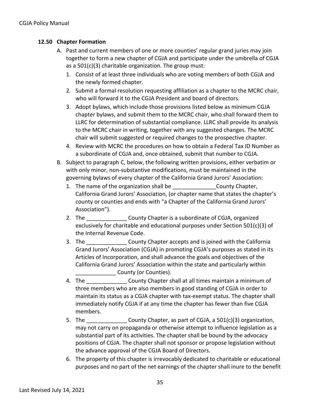#### **12.50 Chapter Formation**

- A. Past and current members of one or more counties' regular grand juries may join together to form a new chapter of CGJA and participate under the umbrella of CGJA as a 501(c)(3) charitable organization. The group must:
	- 1. Consist of at least three individuals who are voting members of both CGJA and the newly formed chapter.
	- 2. Submit a formal resolution requesting affiliation as a chapter to the MCRC chair, who will forward it to the CGJA President and board of directors.
	- 3. Adopt bylaws, which include those provisions listed below as minimum CGJA chapter bylaws, and submit them to the MCRC chair, who shall forward them to LLRC for determination of substantial compliance. LLRC shall provide its analysis to the MCRC chair in writing, together with any suggested changes. The MCRC chair will submit suggested or required changes to the prospective chapter.
	- 4. Review with MCRC the procedures on how to obtain a Federal Tax ID Number as a subordinate of CGJA and, once obtained, submit that number to CGJA.
- B. Subject to paragraph C, below, the following written provisions, either verbatim or with only minor, non-substantive modifications, must be maintained in the governing bylaws of every chapter of the California Grand Jurors' Association:
	- 1. The name of the organization shall be **Example 20 Figure 20** County Chapter, California Grand Jurors' Association, (or chapter name that states the chapter's county or counties and ends with "a Chapter of the California Grand Jurors' Association").
	- 2. The **County Chapter is a subordinate of CGJA**, organized exclusively for charitable and educational purposes under Section 501(c)(3) of the Internal Revenue Code.
	- 3. The **Example 2.** County Chapter accepts and is joined with the California Grand Jurors' Association (CGJA) in promoting CGJA's purposes as stated in its Articles of Incorporation, and shall advance the goals and objectives of the California Grand Jurors' Association within the state and particularly within **\_\_\_\_\_\_\_\_\_\_\_\_\_\_** County (or Counties).
	- 4. The **Example 20 County Chapter shall at all times maintain a minimum of** three members who are also members in good standing of CGJA in order to maintain its status as a CGJA chapter with tax-exempt status. The chapter shall immediately notify CGJA if at any time the chapter has fewer than five CGJA members.
	- 5. The \_\_\_\_\_\_\_\_\_\_\_\_\_ County Chapter, as part of CGJA, a 501(c)(3) organization, may not carry on propaganda or otherwise attempt to influence legislation as a substantial part of its activities. The chapter shall be bound by the advocacy positions of CGJA. The chapter shall not sponsor or propose legislation without the advance approval of the CGJA Board of Directors.
	- 6. The property of this chapter is irrevocably dedicated to charitable or educational purposes and no part of the net earnings of the chapter shall inure to the benefit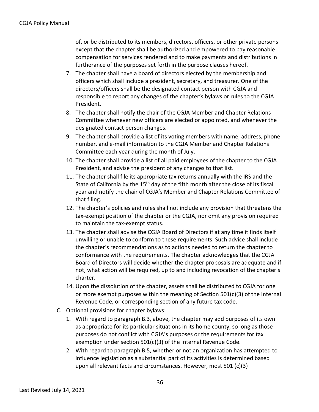of, or be distributed to its members, directors, officers, or other private persons except that the chapter shall be authorized and empowered to pay reasonable compensation for services rendered and to make payments and distributions in furtherance of the purposes set forth in the purpose clauses hereof.

- 7. The chapter shall have a board of directors elected by the membership and officers which shall include a president, secretary, and treasurer. One of the directors/officers shall be the designated contact person with CGJA and responsible to report any changes of the chapter's bylaws or rules to the CGJA President.
- 8. The chapter shall notify the chair of the CGJA Member and Chapter Relations Committee whenever new officers are elected or appointed, and whenever the designated contact person changes.
- 9. The chapter shall provide a list of its voting members with name, address, phone number, and e-mail information to the CGJA Member and Chapter Relations Committee each year during the month of July.
- 10. The chapter shall provide a list of all paid employees of the chapter to the CGJA President, and advise the president of any changes to that list.
- 11. The chapter shall file its appropriate tax returns annually with the IRS and the State of California by the  $15<sup>th</sup>$  day of the fifth month after the close of its fiscal year and notify the chair of CGJA's Member and Chapter Relations Committee of that filing.
- 12. The chapter's policies and rules shall not include any provision that threatens the tax-exempt position of the chapter or the CGJA, nor omit any provision required to maintain the tax-exempt status.
- 13. The chapter shall advise the CGJA Board of Directors if at any time it finds itself unwilling or unable to conform to these requirements. Such advice shall include the chapter's recommendations as to actions needed to return the chapter to conformance with the requirements. The chapter acknowledges that the CGJA Board of Directors will decide whether the chapter proposals are adequate and if not, what action will be required, up to and including revocation of the chapter's charter.
- 14. Upon the dissolution of the chapter, assets shall be distributed to CGJA for one or more exempt purposes within the meaning of Section 501(c)(3) of the Internal Revenue Code, or corresponding section of any future tax code.
- C. Optional provisions for chapter bylaws:
	- 1. With regard to paragraph B.3, above, the chapter may add purposes of its own as appropriate for its particular situations in its home county, so long as those purposes do not conflict with CGJA's purposes or the requirements for tax exemption under section 501(c)(3) of the Internal Revenue Code.
	- 2. With regard to paragraph B.5, whether or not an organization has attempted to influence legislation as a substantial part of its activities is determined based upon all relevant facts and circumstances. However, most 501 (c)(3)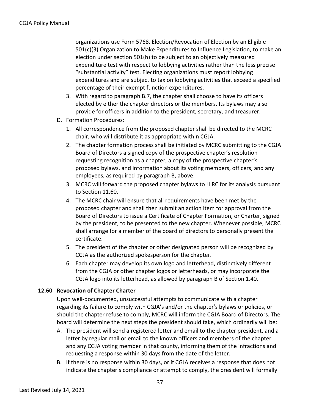organizations use Form 5768, Election/Revocation of Election by an Eligible 501(c)(3) Organization to Make Expenditures to Influence Legislation, to make an election under section 501(h) to be subject to an objectively measured expenditure test with respect to lobbying activities rather than the less precise "substantial activity" test. Electing organizations must report lobbying expenditures and are subject to tax on lobbying activities that exceed a specified percentage of their exempt function expenditures.

- 3. With regard to paragraph B.7, the chapter shall choose to have its officers elected by either the chapter directors or the members. Its bylaws may also provide for officers in addition to the president, secretary, and treasurer.
- D. Formation Procedures:
	- 1. All correspondence from the proposed chapter shall be directed to the MCRC chair, who will distribute it as appropriate within CGJA.
	- 2. The chapter formation process shall be initiated by MCRC submitting to the CGJA Board of Directors a signed copy of the prospective chapter's resolution requesting recognition as a chapter, a copy of the prospective chapter's proposed bylaws, and information about its voting members, officers, and any employees, as required by paragraph B, above.
	- 3. MCRC will forward the proposed chapter bylaws to LLRC for its analysis pursuant to Section 11.60.
	- 4. The MCRC chair will ensure that all requirements have been met by the proposed chapter and shall then submit an action item for approval from the Board of Directors to issue a Certificate of Chapter Formation, or Charter, signed by the president, to be presented to the new chapter. Whenever possible, MCRC shall arrange for a member of the board of directors to personally present the certificate.
	- 5. The president of the chapter or other designated person will be recognized by CGJA as the authorized spokesperson for the chapter.
	- 6. Each chapter may develop its own logo and letterhead, distinctively different from the CGJA or other chapter logos or letterheads, or may incorporate the CGJA logo into its letterhead, as allowed by paragraph B of Section 1.40.

#### **12.60 Revocation of Chapter Charter**

Upon well-documented, unsuccessful attempts to communicate with a chapter regarding its failure to comply with CGJA's and/or the chapter's bylaws or policies, or should the chapter refuse to comply, MCRC will inform the CGJA Board of Directors. The board will determine the next steps the president should take, which ordinarily will be:

- A. The president will send a registered letter and email to the chapter president, and a letter by regular mail or email to the known officers and members of the chapter and any CGJA voting member in that county, informing them of the infractions and requesting a response within 30 days from the date of the letter.
- B. If there is no response within 30 days, or if CGJA receives a response that does not indicate the chapter's compliance or attempt to comply, the president will formally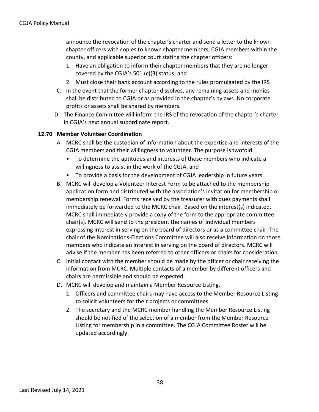announce the revocation of the chapter's charter and send a letter to the known chapter officers with copies to known chapter members, CGJA members within the county, and applicable superior court stating the chapter officers:

- 1. Have an obligation to inform their chapter members that they are no longer covered by the CGJA's 501 (c)(3) status; and
- 2. Must close their bank account according to the rules promulgated by the IRS
- C. In the event that the former chapter dissolves, any remaining assets and monies shall be distributed to CGJA or as provided in the chapter's bylaws. No corporate profits or assets shall be shared by members.
- D. The Finance Committee will inform the IRS of the revocation of the chapter's charter in CGJA's next annual subordinate report.

#### **12.70 Member Volunteer Coordination**

- A. MCRC shall be the custodian of information about the expertise and interests of the CGJA members and their willingness to volunteer. The purpose is twofold:
	- To determine the aptitudes and interests of those members who indicate a willingness to assist in the work of the CGJA, and
	- To provide a basis for the development of CGJA leadership in future years.
- B. MCRC will develop a Volunteer Interest Form to be attached to the membership application form and distributed with the association's invitation for membership or membership renewal. Forms received by the treasurer with dues payments shall immediately be forwarded to the MCRC chair. Based on the interest(s) indicated, MCRC shall immediately provide a copy of the form to the appropriate committee chair(s). MCRC will send to the president the names of individual members expressing interest in serving on the board of directors or as a committee chair. The chair of the Nominations-Elections Committee will also receive information on those members who indicate an interest in serving on the board of directors. MCRC will advise if the member has been referred to other officers or chairs for consideration.
- C. Initial contact with the member should be made by the officer or chair receiving the information from MCRC. Multiple contacts of a member by different officers and chairs are permissible and should be expected.
- D. MCRC will develop and maintain a Member Resource Listing.
	- 1. Officers and committee chairs may have access to the Member Resource Listing to solicit volunteers for their projects or committees.
	- 2. The secretary and the MCRC member handling the Member Resource Listing should be notified of the selection of a member from the Member Resource Listing for membership in a committee. The CGJA Committee Roster will be updated accordingly.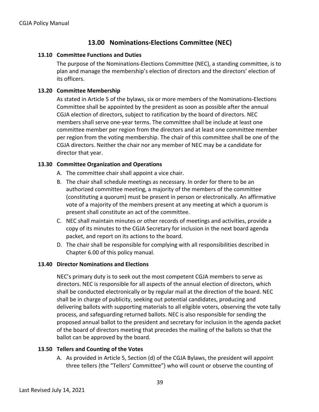## **13.00 Nominations-Elections Committee (NEC)**

#### **13.10 Committee Functions and Duties**

The purpose of the Nominations-Elections Committee (NEC), a standing committee, is to plan and manage the membership's election of directors and the directors' election of its officers.

#### **13.20 Committee Membership**

As stated in Article 5 of the bylaws, six or more members of the Nominations-Elections Committee shall be appointed by the president as soon as possible after the annual CGJA election of directors, subject to ratification by the board of directors. NEC members shall serve one-year terms. The committee shall be include at least one committee member per region from the directors and at least one committee member per region from the voting membership. The chair of this committee shall be one of the CGJA directors. Neither the chair nor any member of NEC may be a candidate for director that year.

#### **13.30 Committee Organization and Operations**

- A. The committee chair shall appoint a vice chair.
- B. The chair shall schedule meetings as necessary. In order for there to be an authorized committee meeting, a majority of the members of the committee (constituting a quorum) must be present in person or electronically. An affirmative vote of a majority of the members present at any meeting at which a quorum is present shall constitute an act of the committee.
- C. NEC shall maintain minutes or other records of meetings and activities, provide a copy of its minutes to the CGJA Secretary for inclusion in the next board agenda packet, and report on its actions to the board.
- D. The chair shall be responsible for complying with all responsibilities described in Chapter 6.00 of this policy manual.

#### **13.40 Director Nominations and Elections**

NEC's primary duty is to seek out the most competent CGJA members to serve as directors. NEC is responsible for all aspects of the annual election of directors, which shall be conducted electronically or by regular mail at the direction of the board. NEC shall be in charge of publicity, seeking out potential candidates, producing and delivering ballots with supporting materials to all eligible voters, observing the vote tally process, and safeguarding returned ballots. NEC is also responsible for sending the proposed annual ballot to the president and secretary for inclusion in the agenda packet of the board of directors meeting that precedes the mailing of the ballots so that the ballot can be approved by the board.

#### **13.50 Tellers and Counting of the Votes**

A. As provided in Article 5, Section (d) of the CGJA Bylaws, the president will appoint three tellers (the "Tellers' Committee") who will count or observe the counting of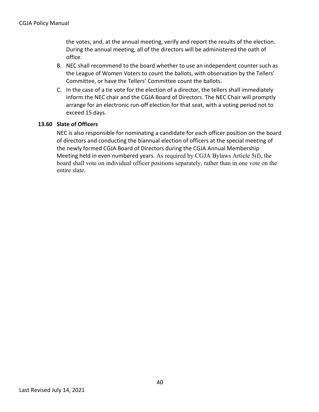the votes, and, at the annual meeting, verify and report the results of the election. During the annual meeting, all of the directors will be administered the oath of office.

- B. NEC shall recommend to the board whether to use an independent counter such as the League of Women Voters to count the ballots, with observation by the Tellers' Committee, or have the Tellers' Committee count the ballots.
- C. In the case of a tie vote for the election of a director, the tellers shall immediately inform the NEC chair and the CGJA Board of Directors. The NEC Chair will promptly arrange for an electronic run-off election for that seat, with a voting period not to exceed 15 days.

#### **13.60 Slate of Officers**

NEC is also responsible for nominating a candidate for each officer position on the board of directors and conducting the biannual election of officers at the special meeting of the newly formed CGJA Board of Directors during the CGJA Annual Membership Meeting held in even numbered years. As required by CGJA Bylaws Article 5(f), the board shall vote on individual officer positions separately, rather than in one vote on the entire slate.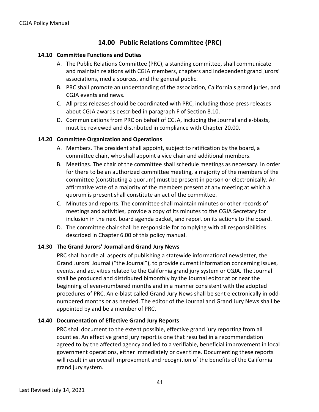## **14.00 Public Relations Committee (PRC)**

#### **14.10 Committee Functions and Duties**

- A. The Public Relations Committee (PRC), a standing committee, shall communicate and maintain relations with CGJA members, chapters and independent grand jurors' associations, media sources, and the general public.
- B. PRC shall promote an understanding of the association, California's grand juries, and CGJA events and news.
- C. All press releases should be coordinated with PRC, including those press releases about CGJA awards described in paragraph F of Section 8.10.
- D. Communications from PRC on behalf of CGJA, including the Journal and e-blasts, must be reviewed and distributed in compliance with Chapter 20.00.

#### **14.20 Committee Organization and Operations**

- A. Members. The president shall appoint, subject to ratification by the board, a committee chair, who shall appoint a vice chair and additional members.
- B. Meetings. The chair of the committee shall schedule meetings as necessary. In order for there to be an authorized committee meeting, a majority of the members of the committee (constituting a quorum) must be present in person or electronically. An affirmative vote of a majority of the members present at any meeting at which a quorum is present shall constitute an act of the committee.
- C. Minutes and reports. The committee shall maintain minutes or other records of meetings and activities, provide a copy of its minutes to the CGJA Secretary for inclusion in the next board agenda packet, and report on its actions to the board.
- D. The committee chair shall be responsible for complying with all responsibilities described in Chapter 6.00 of this policy manual.

#### **14.30 The Grand Jurors' Journal and Grand Jury News**

PRC shall handle all aspects of publishing a statewide informational newsletter, the Grand Jurors' Journal ("the Journal"), to provide current information concerning issues, events, and activities related to the California grand jury system or CGJA. The Journal shall be produced and distributed bimonthly by the Journal editor at or near the beginning of even-numbered months and in a manner consistent with the adopted procedures of PRC. An e-blast called Grand Jury News shall be sent electronically in oddnumbered months or as needed. The editor of the Journal and Grand Jury News shall be appointed by and be a member of PRC.

#### **14.40 Documentation of Effective Grand Jury Reports**

PRC shall document to the extent possible, effective grand jury reporting from all counties. An effective grand jury report is one that resulted in a recommendation agreed to by the affected agency and led to a verifiable, beneficial improvement in local government operations, either immediately or over time. Documenting these reports will result in an overall improvement and recognition of the benefits of the California grand jury system.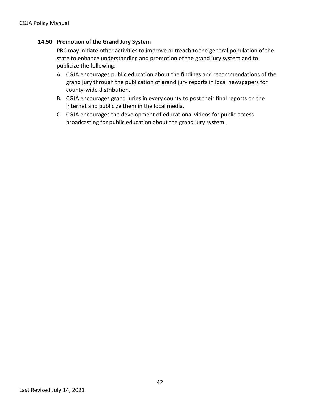#### **14.50 Promotion of the Grand Jury System**

PRC may initiate other activities to improve outreach to the general population of the state to enhance understanding and promotion of the grand jury system and to publicize the following:

- A. CGJA encourages public education about the findings and recommendations of the grand jury through the publication of grand jury reports in local newspapers for county-wide distribution.
- B. CGJA encourages grand juries in every county to post their final reports on the internet and publicize them in the local media.
- C. CGJA encourages the development of educational videos for public access broadcasting for public education about the grand jury system.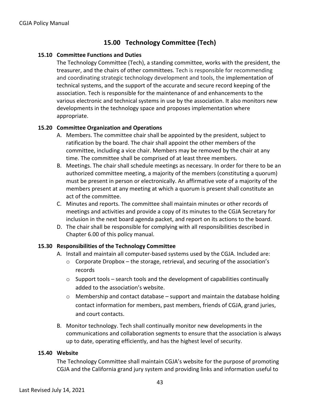## **15.00 Technology Committee (Tech)**

#### **15.10 Committee Functions and Duties**

The Technology Committee (Tech), a standing committee, works with the president, the treasurer, and the chairs of other committees. Tech is responsible for recommending and coordinating strategic technology development and tools, the implementation of technical systems, and the support of the accurate and secure record keeping of the association. Tech is responsible for the maintenance of and enhancements to the various electronic and technical systems in use by the association. It also monitors new developments in the technology space and proposes implementation where appropriate.

#### **15.20 Committee Organization and Operations**

- A. Members. The committee chair shall be appointed by the president, subject to ratification by the board. The chair shall appoint the other members of the committee, including a vice chair. Members may be removed by the chair at any time. The committee shall be comprised of at least three members.
- B. Meetings. The chair shall schedule meetings as necessary. In order for there to be an authorized committee meeting, a majority of the members (constituting a quorum) must be present in person or electronically. An affirmative vote of a majority of the members present at any meeting at which a quorum is present shall constitute an act of the committee.
- C. Minutes and reports. The committee shall maintain minutes or other records of meetings and activities and provide a copy of its minutes to the CGJA Secretary for inclusion in the next board agenda packet, and report on its actions to the board.
- D. The chair shall be responsible for complying with all responsibilities described in Chapter 6.00 of this policy manual.

#### **15.30 Responsibilities of the Technology Committee**

- A. Install and maintain all computer-based systems used by the CGJA. Included are:
	- $\circ$  Corporate Dropbox the storage, retrieval, and securing of the association's records
	- $\circ$  Support tools search tools and the development of capabilities continually added to the association's website.
	- o Membership and contact database support and maintain the database holding contact information for members, past members, friends of CGJA, grand juries, and court contacts.
- B. Monitor technology. Tech shall continually monitor new developments in the communications and collaboration segments to ensure that the association is always up to date, operating efficiently, and has the highest level of security.

#### **15.40 Website**

The Technology Committee shall maintain CGJA's website for the purpose of promoting CGJA and the California grand jury system and providing links and information useful to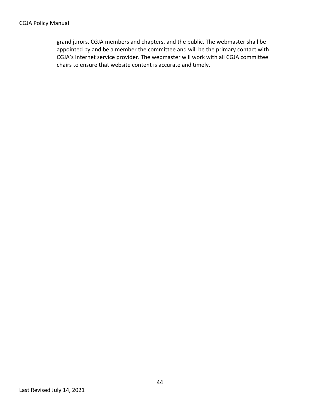grand jurors, CGJA members and chapters, and the public. The webmaster shall be appointed by and be a member the committee and will be the primary contact with CGJA's Internet service provider. The webmaster will work with all CGJA committee chairs to ensure that website content is accurate and timely.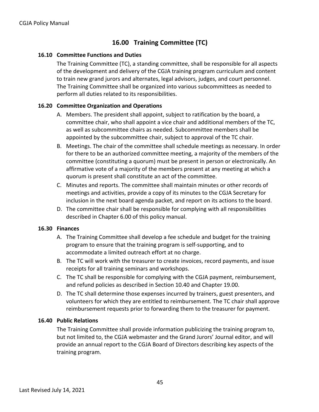## **16.00 Training Committee (TC)**

#### **16.10 Committee Functions and Duties**

The Training Committee (TC), a standing committee, shall be responsible for all aspects of the development and delivery of the CGJA training program curriculum and content to train new grand jurors and alternates, legal advisors, judges, and court personnel. The Training Committee shall be organized into various subcommittees as needed to perform all duties related to its responsibilities.

#### **16.20 Committee Organization and Operations**

- A. Members. The president shall appoint, subject to ratification by the board, a committee chair, who shall appoint a vice chair and additional members of the TC, as well as subcommittee chairs as needed. Subcommittee members shall be appointed by the subcommittee chair, subject to approval of the TC chair.
- B. Meetings. The chair of the committee shall schedule meetings as necessary. In order for there to be an authorized committee meeting, a majority of the members of the committee (constituting a quorum) must be present in person or electronically. An affirmative vote of a majority of the members present at any meeting at which a quorum is present shall constitute an act of the committee.
- C. Minutes and reports. The committee shall maintain minutes or other records of meetings and activities, provide a copy of its minutes to the CGJA Secretary for inclusion in the next board agenda packet, and report on its actions to the board.
- D. The committee chair shall be responsible for complying with all responsibilities described in Chapter 6.00 of this policy manual.

#### **16.30 Finances**

- A. The Training Committee shall develop a fee schedule and budget for the training program to ensure that the training program is self-supporting, and to accommodate a limited outreach effort at no charge.
- B. The TC will work with the treasurer to create invoices, record payments, and issue receipts for all training seminars and workshops.
- C. The TC shall be responsible for complying with the CGJA payment, reimbursement, and refund policies as described in Section 10.40 and Chapter 19.00.
- D. The TC shall determine those expenses incurred by trainers, guest presenters, and volunteers for which they are entitled to reimbursement. The TC chair shall approve reimbursement requests prior to forwarding them to the treasurer for payment.

#### **16.40 Public Relations**

The Training Committee shall provide information publicizing the training program to, but not limited to, the CGJA webmaster and the Grand Jurors' Journal editor, and will provide an annual report to the CGJA Board of Directors describing key aspects of the training program.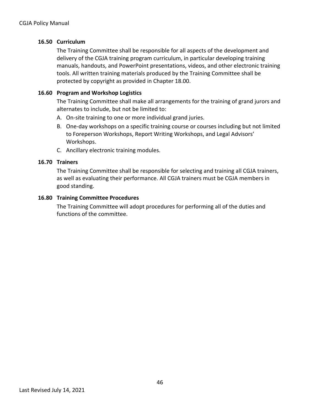#### **16.50 Curriculum**

The Training Committee shall be responsible for all aspects of the development and delivery of the CGJA training program curriculum, in particular developing training manuals, handouts, and PowerPoint presentations, videos, and other electronic training tools. All written training materials produced by the Training Committee shall be protected by copyright as provided in Chapter 18.00.

#### **16.60 Program and Workshop Logistics**

The Training Committee shall make all arrangements for the training of grand jurors and alternates to include, but not be limited to:

- A. On-site training to one or more individual grand juries.
- B. One-day workshops on a specific training course or courses including but not limited to Foreperson Workshops, Report Writing Workshops, and Legal Advisors' Workshops.
- C. Ancillary electronic training modules.

#### **16.70 Trainers**

The Training Committee shall be responsible for selecting and training all CGJA trainers, as well as evaluating their performance. All CGJA trainers must be CGJA members in good standing.

#### **16.80 Training Committee Procedures**

The Training Committee will adopt procedures for performing all of the duties and functions of the committee.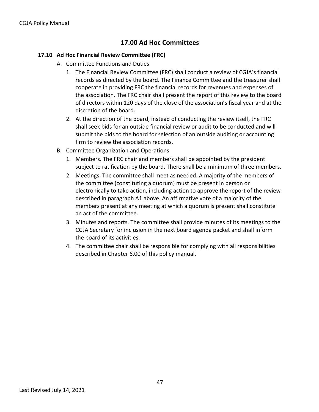## **17.00 Ad Hoc Committees**

#### **17.10 Ad Hoc Financial Review Committee (FRC)**

- A. Committee Functions and Duties
	- 1. The Financial Review Committee (FRC) shall conduct a review of CGJA's financial records as directed by the board. The Finance Committee and the treasurer shall cooperate in providing FRC the financial records for revenues and expenses of the association. The FRC chair shall present the report of this review to the board of directors within 120 days of the close of the association's fiscal year and at the discretion of the board.
	- 2. At the direction of the board, instead of conducting the review itself, the FRC shall seek bids for an outside financial review or audit to be conducted and will submit the bids to the board for selection of an outside auditing or accounting firm to review the association records.
- B. Committee Organization and Operations
	- 1. Members. The FRC chair and members shall be appointed by the president subject to ratification by the board. There shall be a minimum of three members.
	- 2. Meetings. The committee shall meet as needed. A majority of the members of the committee (constituting a quorum) must be present in person or electronically to take action, including action to approve the report of the review described in paragraph A1 above. An affirmative vote of a majority of the members present at any meeting at which a quorum is present shall constitute an act of the committee.
	- 3. Minutes and reports. The committee shall provide minutes of its meetings to the CGJA Secretary for inclusion in the next board agenda packet and shall inform the board of its activities.
	- 4. The committee chair shall be responsible for complying with all responsibilities described in Chapter 6.00 of this policy manual.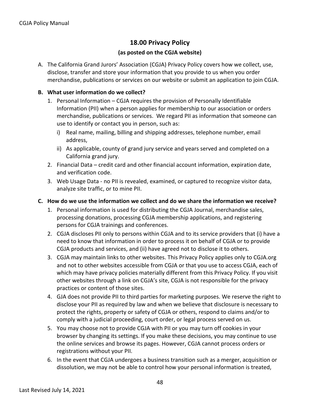## **18.00 Privacy Policy**

#### **(as posted on the CGJA website)**

A. The California Grand Jurors' Association (CGJA) Privacy Policy covers how we collect, use, disclose, transfer and store your information that you provide to us when you order merchandise, publications or services on our website or submit an application to join CGJA.

#### **B. What user information do we collect?**

- 1. Personal Information CGJA requires the provision of Personally Identifiable Information (PII) when a person applies for membership to our association or orders merchandise, publications or services. We regard PII as information that someone can use to identify or contact you in person, such as:
	- i) Real name, mailing, billing and shipping addresses, telephone number, email address,
	- ii) As applicable, county of grand jury service and years served and completed on a California grand jury.
- 2. Financial Data credit card and other financial account information, expiration date, and verification code.
- 3. Web Usage Data no PII is revealed, examined, or captured to recognize visitor data, analyze site traffic, or to mine PII.

#### **C. How do we use the information we collect and do we share the information we receive?**

- 1. Personal information is used for distributing the CGJA Journal, merchandise sales, processing donations, processing CGJA membership applications, and registering persons for CGJA trainings and conferences.
- 2. CGJA discloses PII only to persons within CGJA and to its service providers that (i) have a need to know that information in order to process it on behalf of CGJA or to provide CGJA products and services, and (ii) have agreed not to disclose it to others.
- 3. CGJA may maintain links to other websites. This Privacy Policy applies only to CGJA.org and not to other websites accessible from CGJA or that you use to access CGJA, each of which may have privacy policies materially different from this Privacy Policy. If you visit other websites through a link on CGJA's site, CGJA is not responsible for the privacy practices or content of those sites.
- 4. GJA does not provide PII to third parties for marketing purposes. We reserve the right to disclose your PII as required by law and when we believe that disclosure is necessary to protect the rights, property or safety of CGJA or others, respond to claims and/or to comply with a judicial proceeding, court order, or legal process served on us.
- 5. You may choose not to provide CGJA with PII or you may turn off cookies in your browser by changing its settings. If you make these decisions, you may continue to use the online services and browse its pages. However, CGJA cannot process orders or registrations without your PII.
- 6. In the event that CGJA undergoes a business transition such as a merger, acquisition or dissolution, we may not be able to control how your personal information is treated,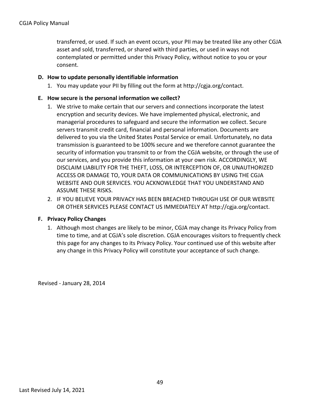transferred, or used. If such an event occurs, your PII may be treated like any other CGJA asset and sold, transferred, or shared with third parties, or used in ways not contemplated or permitted under this Privacy Policy, without notice to you or your consent.

#### **D. How to update personally identifiable information**

1. You may update your PII by filling out the form at http://cgja.org/contact.

#### **E. How secure is the personal information we collect?**

- 1. We strive to make certain that our servers and connections incorporate the latest encryption and security devices. We have implemented physical, electronic, and managerial procedures to safeguard and secure the information we collect. Secure servers transmit credit card, financial and personal information. Documents are delivered to you via the United States Postal Service or email. Unfortunately, no data transmission is guaranteed to be 100% secure and we therefore cannot guarantee the security of information you transmit to or from the CGJA website, or through the use of our services, and you provide this information at your own risk. ACCORDINGLY, WE DISCLAIM LIABILITY FOR THE THEFT, LOSS, OR INTERCEPTION OF, OR UNAUTHORIZED ACCESS OR DAMAGE TO, YOUR DATA OR COMMUNICATIONS BY USING THE CGJA WEBSITE AND OUR SERVICES. YOU ACKNOWLEDGE THAT YOU UNDERSTAND AND ASSUME THESE RISKS.
- 2. IF YOU BELIEVE YOUR PRIVACY HAS BEEN BREACHED THROUGH USE OF OUR WEBSITE OR OTHER SERVICES PLEASE CONTACT US IMMEDIATELY AT http://cgja.org/contact.

#### **F. Privacy Policy Changes**

1. Although most changes are likely to be minor, CGJA may change its Privacy Policy from time to time, and at CGJA's sole discretion. CGJA encourages visitors to frequently check this page for any changes to its Privacy Policy. Your continued use of this website after any change in this Privacy Policy will constitute your acceptance of such change.

Revised - January 28, 2014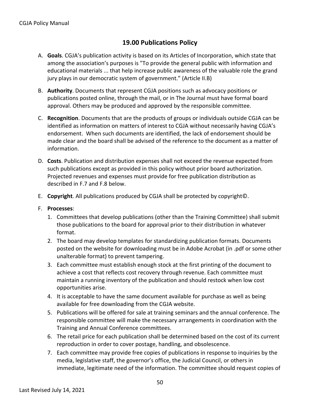## **19.00 Publications Policy**

- A. **Goals**. CGJA's publication activity is based on its Articles of Incorporation, which state that among the association's purposes is "To provide the general public with information and educational materials ... that help increase public awareness of the valuable role the grand jury plays in our democratic system of government." (Article II.B)
- B. **Authority**. Documents that represent CGJA positions such as advocacy positions or publications posted online, through the mail, or in The Journal must have formal board approval. Others may be produced and approved by the responsible committee.
- C. **Recognition**. Documents that are the products of groups or individuals outside CGJA can be identified as information on matters of interest to CGJA without necessarily having CGJA's endorsement. When such documents are identified, the lack of endorsement should be made clear and the board shall be advised of the reference to the document as a matter of information.
- D. **Costs**. Publication and distribution expenses shall not exceed the revenue expected from such publications except as provided in this policy without prior board authorization. Projected revenues and expenses must provide for free publication distribution as described in F.7 and F.8 below.
- E. **Copyright**. All publications produced by CGJA shall be protected by copyright©.
- F. **Processes**:
	- 1. Committees that develop publications (other than the Training Committee) shall submit those publications to the board for approval prior to their distribution in whatever format.
	- 2. The board may develop templates for standardizing publication formats. Documents posted on the website for downloading must be in Adobe Acrobat (in .pdf or some other unalterable format) to prevent tampering.
	- 3. Each committee must establish enough stock at the first printing of the document to achieve a cost that reflects cost recovery through revenue. Each committee must maintain a running inventory of the publication and should restock when low cost opportunities arise.
	- 4. It is acceptable to have the same document available for purchase as well as being available for free downloading from the CGJA website.
	- 5. Publications will be offered for sale at training seminars and the annual conference. The responsible committee will make the necessary arrangements in coordination with the Training and Annual Conference committees.
	- 6. The retail price for each publication shall be determined based on the cost of its current reproduction in order to cover postage, handling, and obsolescence.
	- 7. Each committee may provide free copies of publications in response to inquiries by the media, legislative staff, the governor's office, the Judicial Council, or others in immediate, legitimate need of the information. The committee should request copies of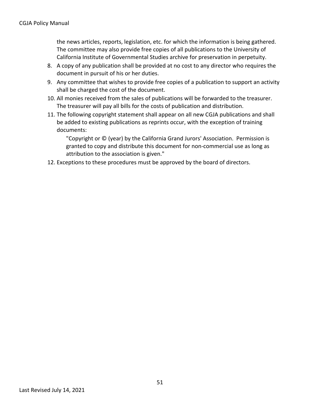the news articles, reports, legislation, etc. for which the information is being gathered. The committee may also provide free copies of all publications to the University of California Institute of Governmental Studies archive for preservation in perpetuity.

- 8. A copy of any publication shall be provided at no cost to any director who requires the document in pursuit of his or her duties.
- 9. Any committee that wishes to provide free copies of a publication to support an activity shall be charged the cost of the document.
- 10. All monies received from the sales of publications will be forwarded to the treasurer. The treasurer will pay all bills for the costs of publication and distribution.
- 11. The following copyright statement shall appear on all new CGJA publications and shall be added to existing publications as reprints occur, with the exception of training documents:

"Copyright or © (year) by the California Grand Jurors' Association. Permission is granted to copy and distribute this document for non-commercial use as long as attribution to the association is given."

12. Exceptions to these procedures must be approved by the board of directors.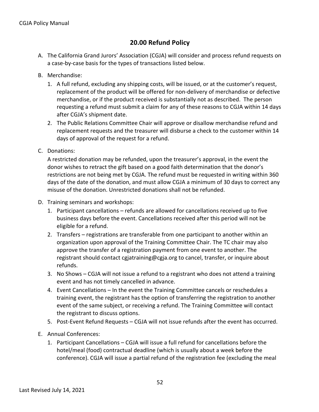## **20.00 Refund Policy**

- A. The California Grand Jurors' Association (CGJA) will consider and process refund requests on a case-by-case basis for the types of transactions listed below.
- B. Merchandise:
	- 1. A full refund, excluding any shipping costs, will be issued, or at the customer's request, replacement of the product will be offered for non-delivery of merchandise or defective merchandise, or if the product received is substantially not as described. The person requesting a refund must submit a claim for any of these reasons to CGJA within 14 days after CGJA's shipment date.
	- 2. The Public Relations Committee Chair will approve or disallow merchandise refund and replacement requests and the treasurer will disburse a check to the customer within 14 days of approval of the request for a refund.
- C. Donations:

A restricted donation may be refunded, upon the treasurer's approval, in the event the donor wishes to retract the gift based on a good faith determination that the donor's restrictions are not being met by CGJA. The refund must be requested in writing within 360 days of the date of the donation, and must allow CGJA a minimum of 30 days to correct any misuse of the donation. Unrestricted donations shall not be refunded.

- D. Training seminars and workshops:
	- 1. Participant cancellations refunds are allowed for cancellations received up to five business days before the event. Cancellations received after this period will not be eligible for a refund.
	- 2. Transfers registrations are transferable from one participant to another within an organization upon approval of the Training Committee Chair. The TC chair may also approve the transfer of a registration payment from one event to another. The registrant should contact cgjatraining@cgja.org to cancel, transfer, or inquire about refunds.
	- 3. No Shows CGJA will not issue a refund to a registrant who does not attend a training event and has not timely cancelled in advance.
	- 4. Event Cancellations In the event the Training Committee cancels or reschedules a training event, the registrant has the option of transferring the registration to another event of the same subject, or receiving a refund. The Training Committee will contact the registrant to discuss options.
	- 5. Post-Event Refund Requests CGJA will not issue refunds after the event has occurred.
- E. Annual Conferences:
	- 1. Participant Cancellations CGJA will issue a full refund for cancellations before the hotel/meal (food) contractual deadline (which is usually about a week before the conference). CGJA will issue a partial refund of the registration fee (excluding the meal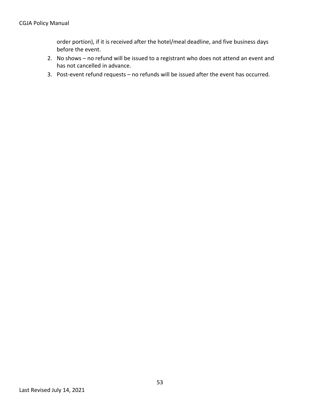order portion), if it is received after the hotel/meal deadline, and five business days before the event.

- 2. No shows no refund will be issued to a registrant who does not attend an event and has not cancelled in advance.
- 3. Post-event refund requests no refunds will be issued after the event has occurred.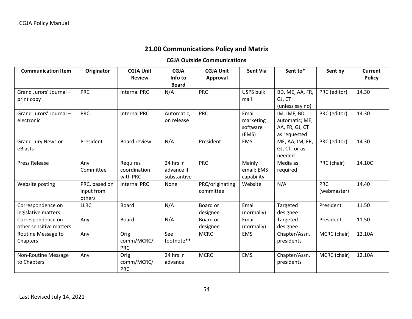## **21.00 Communications Policy and Matrix**

## **CGJA Outside Communications**

| <b>Communication Item</b>                    | Originator                            | <b>CGJA Unit</b><br><b>Review</b>    | <b>CGJA</b><br>Info to                 | <b>CGJA Unit</b><br>Approval | <b>Sent Via</b>                         | Sent to*                                                        | Sent by                   | <b>Current</b><br><b>Policy</b> |
|----------------------------------------------|---------------------------------------|--------------------------------------|----------------------------------------|------------------------------|-----------------------------------------|-----------------------------------------------------------------|---------------------------|---------------------------------|
|                                              |                                       |                                      | <b>Board</b>                           |                              |                                         |                                                                 |                           |                                 |
| Grand Jurors' Journal -<br>print copy        | <b>PRC</b>                            | <b>Internal PRC</b>                  | N/A                                    | <b>PRC</b>                   | <b>USPS bulk</b><br>mail                | BD, ME, AA, FR,<br>GJ, CT<br>(unless say no)                    | PRC (editor)              | 14.30                           |
| Grand Jurors' Journal -<br>electronic        | <b>PRC</b>                            | <b>Internal PRC</b>                  | Automatic,<br>on release               | <b>PRC</b>                   | Email<br>marketing<br>software<br>(EMS) | IM, IMF, BD<br>automatic; ME,<br>AA, FR, GJ, CT<br>as requested | PRC (editor)              | 14.30                           |
| <b>Grand Jury News or</b><br>eBlasts         | President                             | Board review                         | N/A                                    | President                    | <b>EMS</b>                              | ME, AA, IM, FR,<br>GJ, CT; or as<br>needed                      | PRC (editor)              | 14.30                           |
| <b>Press Release</b>                         | Any<br>Committee                      | Requires<br>coordination<br>with PRC | 24 hrs in<br>advance if<br>substantive | <b>PRC</b>                   | Mainly<br>email; EMS<br>capability      | Media as<br>required                                            | PRC (chair)               | 14.10C                          |
| Website posting                              | PRC, based on<br>input from<br>others | <b>Internal PRC</b>                  | None                                   | PRC/originating<br>committee | Website                                 | N/A                                                             | <b>PRC</b><br>(webmaster) | 14.40                           |
| Correspondence on<br>legislative matters     | <b>LLRC</b>                           | <b>Board</b>                         | N/A                                    | Board or<br>designee         | Email<br>(normally)                     | Targeted<br>designee                                            | President                 | 11.50                           |
| Correspondence on<br>other sensitive matters | Any                                   | <b>Board</b>                         | N/A                                    | Board or<br>designee         | Email<br>(normally)                     | Targeted<br>designee                                            | President                 | 11.50                           |
| Routine Message to<br>Chapters               | Any                                   | Orig<br>comm/MCRC/<br><b>PRC</b>     | See<br>footnote**                      | <b>MCRC</b>                  | <b>EMS</b>                              | Chapter/Assn.<br>presidents                                     | MCRC (chair)              | 12.10A                          |
| Non-Routine Message<br>to Chapters           | Any                                   | Orig<br>comm/MCRC/<br><b>PRC</b>     | 24 hrs in<br>advance                   | <b>MCRC</b>                  | <b>EMS</b>                              | Chapter/Assn.<br>presidents                                     | MCRC (chair)              | 12.10A                          |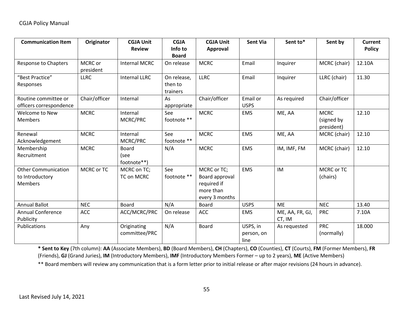| <b>Communication Item</b>                                       | Originator           | <b>CGJA Unit</b><br><b>Review</b>   | <b>CGJA</b><br>Info to<br><b>Board</b> | <b>CGJA Unit</b><br>Approval                                                | <b>Sent Via</b>                | Sent to*                  | Sent by                                 | <b>Current</b><br><b>Policy</b> |
|-----------------------------------------------------------------|----------------------|-------------------------------------|----------------------------------------|-----------------------------------------------------------------------------|--------------------------------|---------------------------|-----------------------------------------|---------------------------------|
| <b>Response to Chapters</b>                                     | MCRC or<br>president | <b>Internal MCRC</b>                | On release                             | <b>MCRC</b>                                                                 | Email                          | Inquirer                  | MCRC (chair)                            | 12.10A                          |
| "Best Practice"<br>Responses                                    | <b>LLRC</b>          | <b>Internal LLRC</b>                | On release,<br>then to<br>trainers     | <b>LLRC</b>                                                                 | Email                          | Inquirer                  | LLRC (chair)                            | 11.30                           |
| Routine committee or<br>officers correspondence                 | Chair/officer        | Internal                            | As<br>appropriate                      | Chair/officer                                                               | Email or<br><b>USPS</b>        | As required               | Chair/officer                           |                                 |
| Welcome to New<br><b>Members</b>                                | <b>MCRC</b>          | Internal<br>MCRC/PRC                | See<br>footnote **                     | <b>MCRC</b>                                                                 | <b>EMS</b>                     | ME, AA                    | <b>MCRC</b><br>(signed by<br>president) | 12.10                           |
| Renewal<br>Acknowledgement                                      | <b>MCRC</b>          | Internal<br>MCRC/PRC                | See<br>footnote **                     | <b>MCRC</b>                                                                 | <b>EMS</b>                     | ME, AA                    | MCRC (chair)                            | 12.10                           |
| Membership<br>Recruitment                                       | <b>MCRC</b>          | <b>Board</b><br>(see<br>footnote**) | N/A                                    | <b>MCRC</b>                                                                 | <b>EMS</b>                     | IM, IMF, FM               | MCRC (chair)                            | 12.10                           |
| <b>Other Communication</b><br>to Introductory<br><b>Members</b> | MCRC or TC           | MCRC on TC;<br>TC on MCRC           | See<br>footnote **                     | MCRC or TC;<br>Board approval<br>required if<br>more than<br>every 3 months | <b>EMS</b>                     | IM                        | MCRC or TC<br>(chairs)                  |                                 |
| <b>Annual Ballot</b>                                            | <b>NEC</b>           | <b>Board</b>                        | N/A                                    | <b>Board</b>                                                                | <b>USPS</b>                    | <b>ME</b>                 | <b>NEC</b>                              | 13.40                           |
| <b>Annual Conference</b><br>Publicity                           | <b>ACC</b>           | ACC/MCRC/PRC                        | On release                             | <b>ACC</b>                                                                  | <b>EMS</b>                     | ME, AA, FR, GJ,<br>CT, IM | <b>PRC</b>                              | 7.10A                           |
| Publications                                                    | Any                  | Originating<br>committee/PRC        | N/A                                    | <b>Board</b>                                                                | USPS, in<br>person, on<br>line | As requested              | <b>PRC</b><br>(normally)                | 18.000                          |

**\* Sent to Key** (7th column): **AA** (Associate Members), **BD** (Board Members), **CH** (Chapters), **CO** (Counties), **CT** (Courts), **FM** (Former Members), **FR** (Friends), **GJ** (Grand Juries), **IM** (Introductory Members), **IMF** (Introductory Members Former – up to 2 years), **ME** (Active Members)

\*\* Board members will review any communication that is a form letter prior to initial release or after major revisions (24 hours in advance).